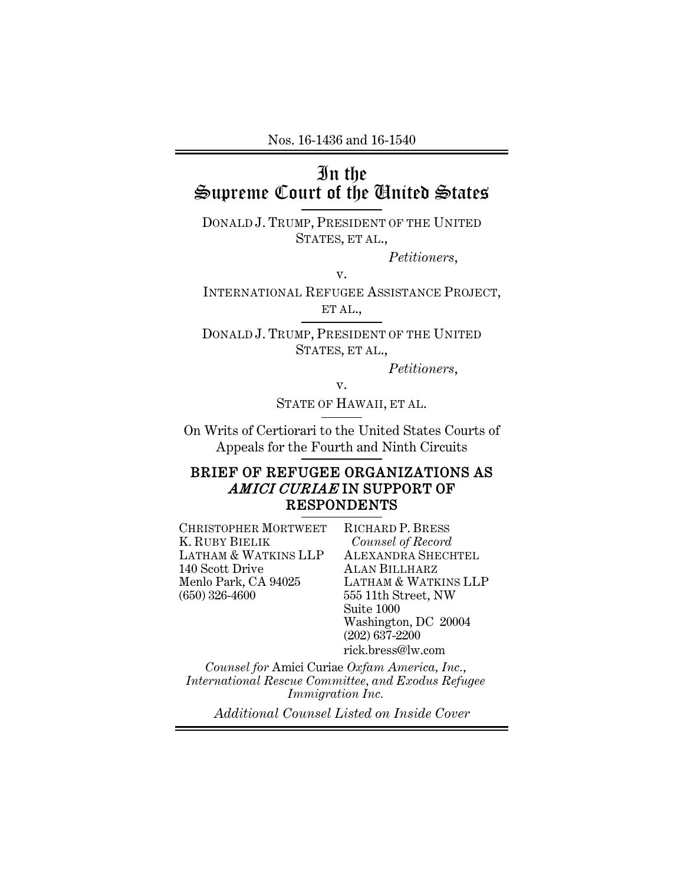Nos. 16-1436 and 16-1540

# In the Supreme Court of the United States

DONALD J. TRUMP, PRESIDENT OF THE UNITED STATES, ET AL.,

*Petitioners*,

v.

INTERNATIONAL REFUGEE ASSISTANCE PROJECT, ET AL.,

DONALD J. TRUMP, PRESIDENT OF THE UNITED STATES, ET AL.,

v.

*Petitioners*,

STATE OF HAWAII, ET AL.

On Writs of Certiorari to the United States Courts of Appeals for the Fourth and Ninth Circuits

#### BRIEF OF REFUGEE ORGANIZATIONS AS AMICI CURIAE IN SUPPORT OF RESPONDENTS

CHRISTOPHER MORTWEET K. RUBY BIELIK LATHAM & WATKINS LLP 140 Scott Drive Menlo Park, CA 94025 (650) 326-4600

RICHARD P. BRESS *Counsel of Record* ALEXANDRA SHECHTEL ALAN BILLHARZ LATHAM & WATKINS LLP 555 11th Street, NW Suite 1000 Washington, DC 20004 (202) 637-2200 rick.bress@lw.com

*Counsel for* Amici Curiae *Oxfam America, Inc.*, *International Rescue Committee, and Exodus Refugee Immigration Inc.*

*Additional Counsel Listed on Inside Cover*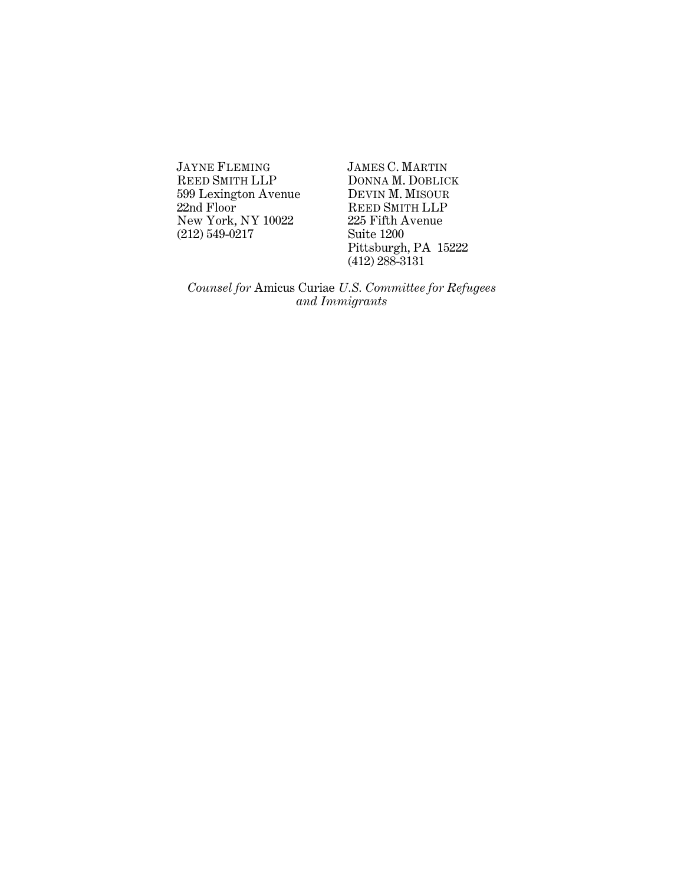JAYNE FLEMING REED SMITH LLP 599 Lexington Avenue 22nd Floor New York, NY 10022  $(212)$  549-0217

JAMES C. MARTIN DONNA M. DOBLICK DEVIN M. MISOUR REED SMITH LLP 225 Fifth Avenue Suite 1200 Pittsburgh, PA 15222  $(412) 288 - 3131$ 

*Counsel for* Amicus Curiae *U.S. Committee for Refugees and Immigrants*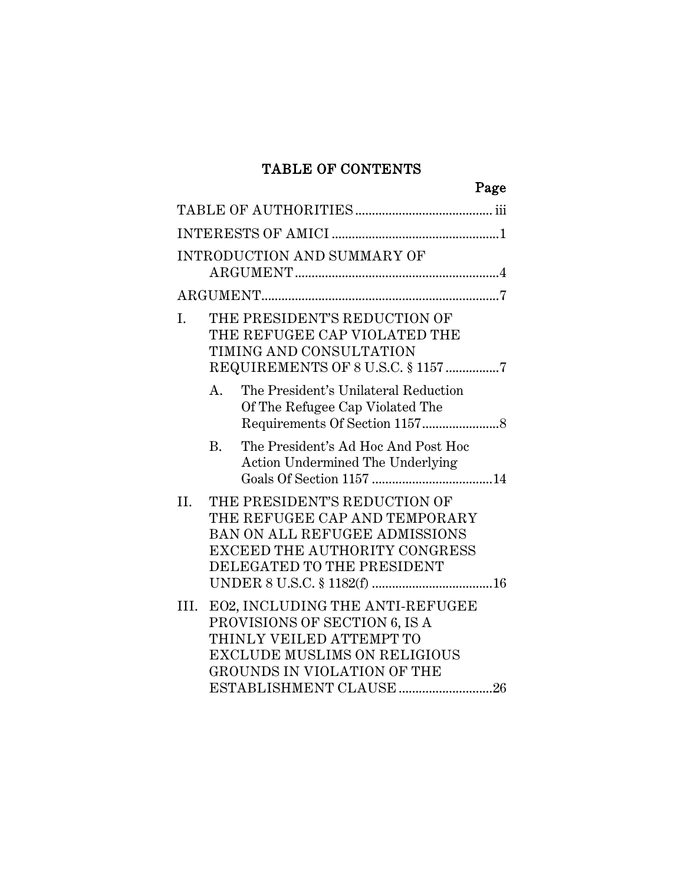### TABLE OF CONTENTS

| Page                                                                                                                                                                                                  |
|-------------------------------------------------------------------------------------------------------------------------------------------------------------------------------------------------------|
|                                                                                                                                                                                                       |
|                                                                                                                                                                                                       |
| INTRODUCTION AND SUMMARY OF                                                                                                                                                                           |
|                                                                                                                                                                                                       |
| THE PRESIDENT'S REDUCTION OF<br>Ι.<br>THE REFUGEE CAP VIOLATED THE<br>TIMING AND CONSULTATION<br>REQUIREMENTS OF 8 U.S.C. § 1157 7                                                                    |
| The President's Unilateral Reduction<br>A.<br>Of The Refugee Cap Violated The                                                                                                                         |
| The President's Ad Hoc And Post Hoc<br><b>B.</b><br><b>Action Undermined The Underlying</b>                                                                                                           |
| II.<br>THE PRESIDENT'S REDUCTION OF<br>THE REFUGEE CAP AND TEMPORARY<br>BAN ON ALL REFUGEE ADMISSIONS<br>EXCEED THE AUTHORITY CONGRESS<br>DELEGATED TO THE PRESIDENT                                  |
| EO2, INCLUDING THE ANTI-REFUGEE<br>III.<br>PROVISIONS OF SECTION 6, IS A<br>THINLY VEILED ATTEMPT TO<br><b>EXCLUDE MUSLIMS ON RELIGIOUS</b><br>GROUNDS IN VIOLATION OF THE<br>ESTABLISHMENT CLAUSE 26 |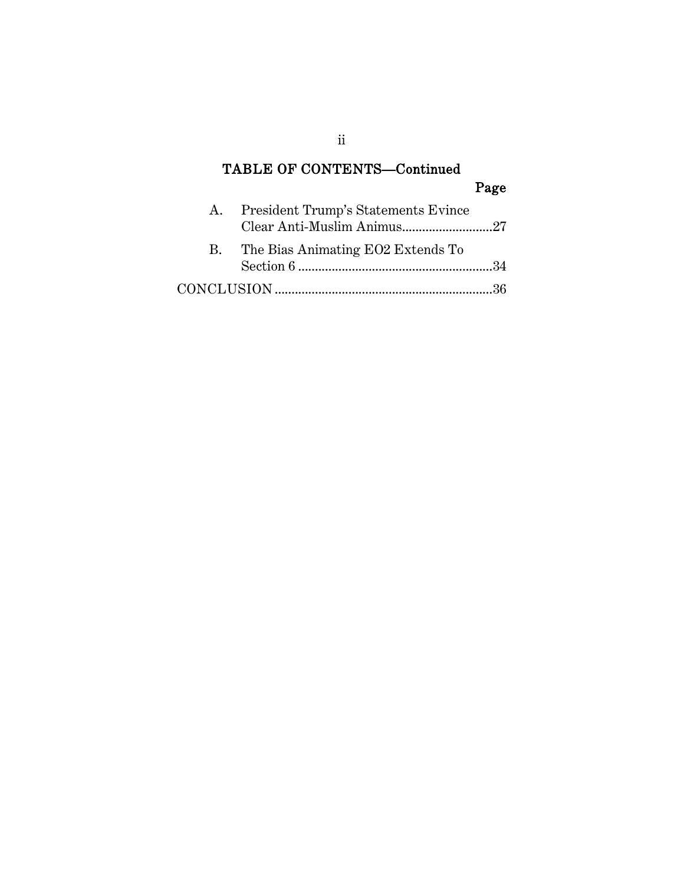# TABLE OF CONTENTS—Continued Page A. [President Trump's Statements](#page-41-0) Evince

| B. The Bias Animating EO2 Extends To |  |
|--------------------------------------|--|
|                                      |  |
|                                      |  |

ii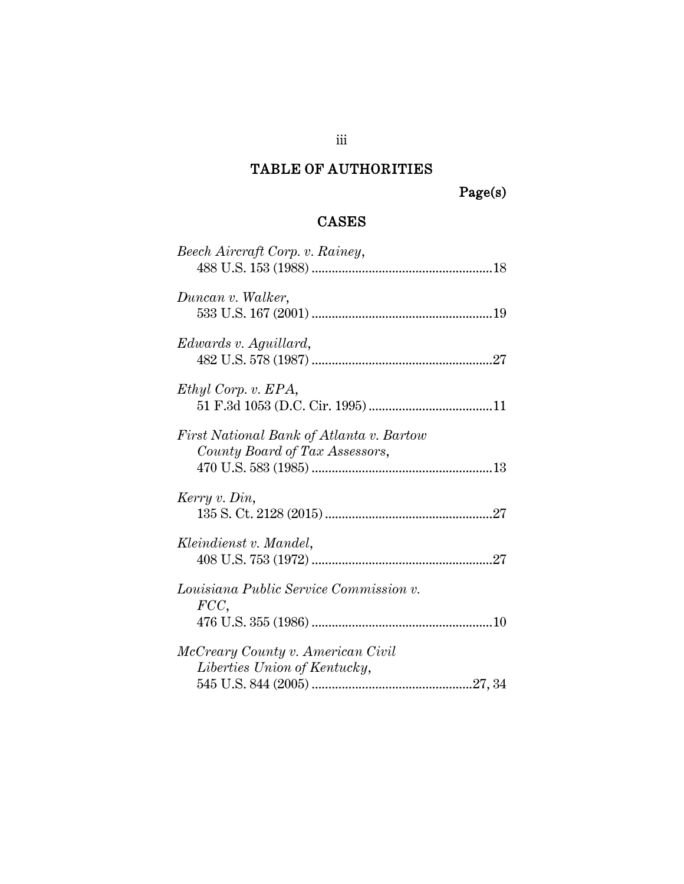### <span id="page-4-0"></span>TABLE OF AUTHORITIES

Page(s)

### CASES

| Beech Aircraft Corp. v. Rainey,                                            |
|----------------------------------------------------------------------------|
| Duncan v. Walker,                                                          |
| Edwards v. Aguillard,                                                      |
| Ethyl Corp. v. EPA,                                                        |
| First National Bank of Atlanta v. Bartow<br>County Board of Tax Assessors, |
| Kerry v. Din,                                                              |
| Kleindienst v. Mandel,                                                     |
| Louisiana Public Service Commission v.<br>FCC                              |
| McCreary County v. American Civil<br>Liberties Union of Kentucky,          |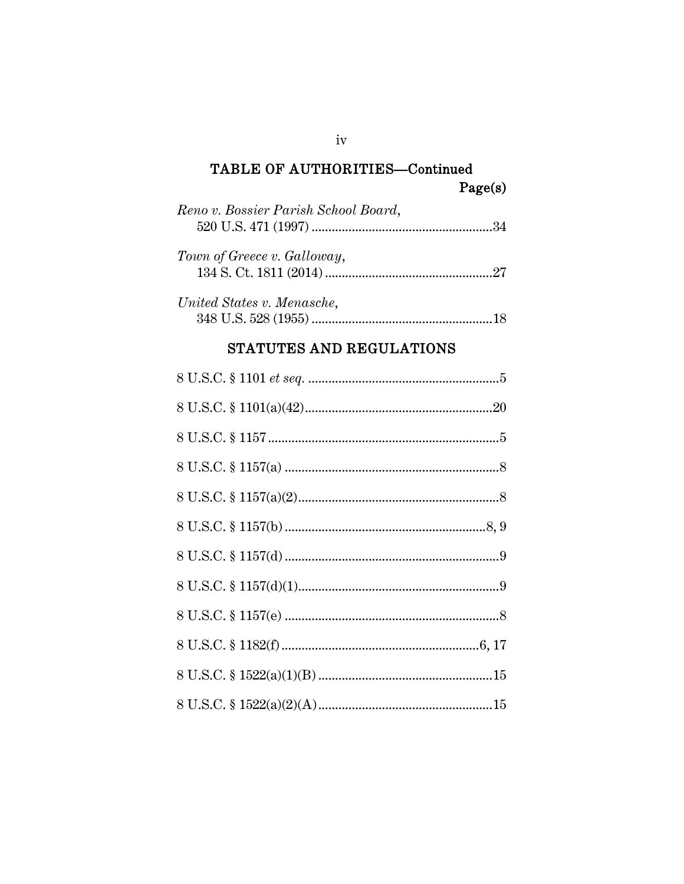| Reno v. Bossier Parish School Board, |  |
|--------------------------------------|--|
|                                      |  |
|                                      |  |
| Town of Greece v. Galloway,          |  |
|                                      |  |

| United States v. Menasche, |  |
|----------------------------|--|
|                            |  |

### STATUTES AND REGULATIONS

 $iv$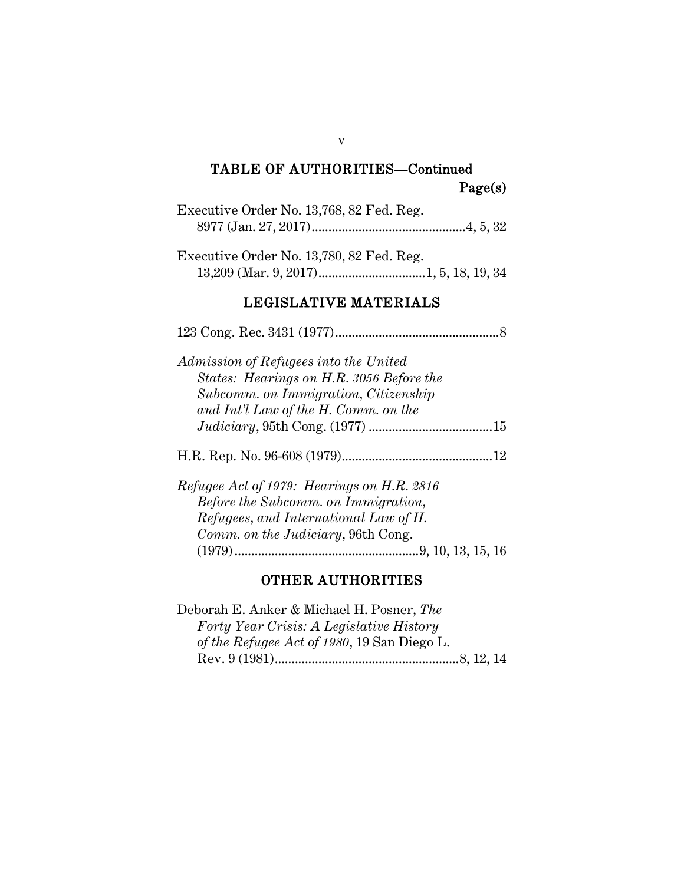| Executive Order No. 13,768, 82 Fed. Reg. |  |
|------------------------------------------|--|
|                                          |  |

| Executive Order No. 13,780, 82 Fed. Reg. |  |
|------------------------------------------|--|
|                                          |  |

#### LEGISLATIVE MATERIALS

|--|--|--|--|--|--|

| Admission of Refugees into the United    |  |
|------------------------------------------|--|
| States: Hearings on H.R. 3056 Before the |  |
| Subcomm. on Immigration, Citizenship     |  |
| and Int'l Law of the H. Comm. on the     |  |
|                                          |  |
|                                          |  |

H.R. Rep. No. 96-608 (1979).............................................12

*Refugee Act of 1979: Hearings on H.R. 2816 Before the Subcomm. on Immigration, Refugees, and International Law of H. Comm. on the Judiciary*, 96th Cong. (1979).......................................................9, 10, 13, 15, 16

#### OTHER AUTHORITIES

Deborah E. Anker & Michael H. Posner, *The Forty Year Crisis: A Legislative History of the Refugee Act of 1980*, 19 San Diego L. Rev. 9 (1981).......................................................8, 12, 14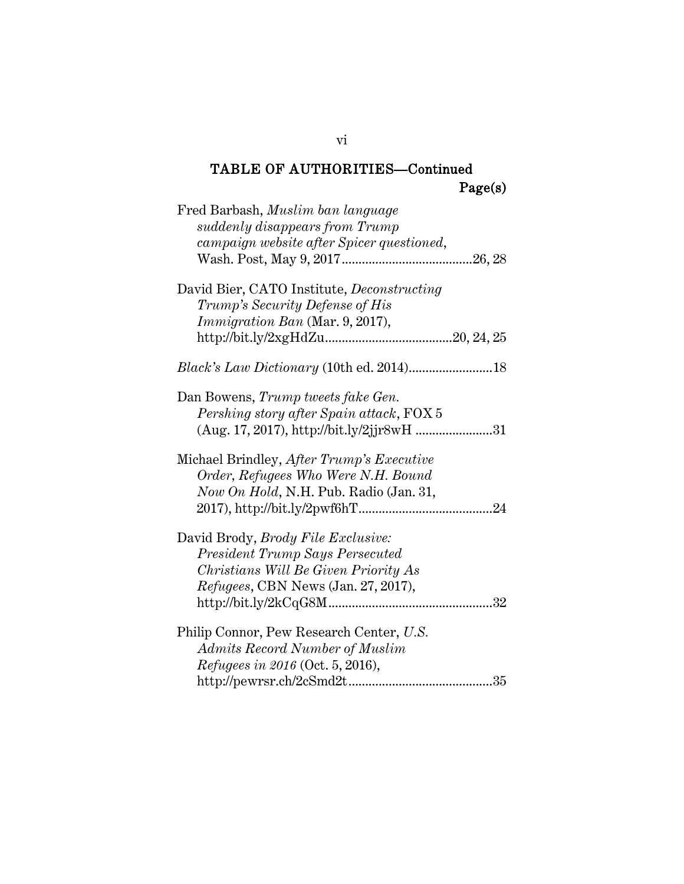| Fred Barbash, Muslim ban language                 |
|---------------------------------------------------|
| suddenly disappears from Trump                    |
| campaign website after Spicer questioned,         |
|                                                   |
| David Bier, CATO Institute, <i>Deconstructing</i> |
| Trump's Security Defense of His                   |
| <i>Immigration Ban</i> (Mar. 9, 2017),            |
|                                                   |
|                                                   |
| Dan Bowens, Trump tweets fake Gen.                |
| Pershing story after Spain attack, FOX 5          |
| (Aug. 17, 2017), http://bit.ly/2jjr8wH 31         |
| Michael Brindley, After Trump's Executive         |
| Order, Refugees Who Were N.H. Bound               |
| Now On Hold, N.H. Pub. Radio (Jan. 31,            |
| 24                                                |
| David Brody, <i>Brody File Exclusive</i> :        |
| President Trump Says Persecuted                   |
| Christians Will Be Given Priority As              |
| <i>Refugees, CBN News (Jan. 27, 2017),</i>        |
| .32                                               |
| Philip Connor, Pew Research Center, U.S.          |
| <b>Admits Record Number of Muslim</b>             |
| <i>Refugees in 2016</i> (Oct. 5, 2016),           |
| 35                                                |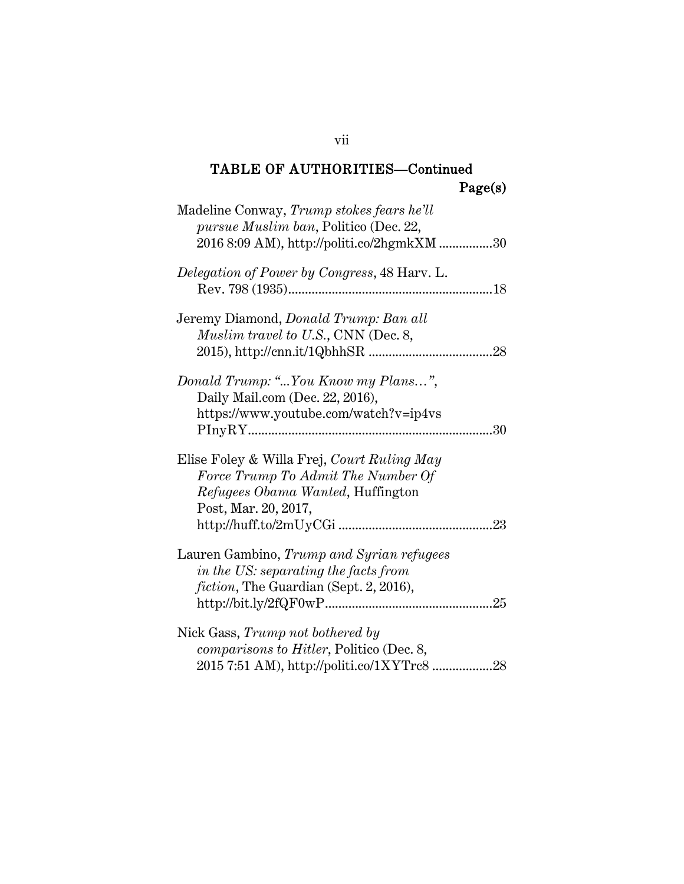| Madeline Conway, Trump stokes fears he'll<br>pursue Muslim ban, Politico (Dec. 22,<br>2016 8:09 AM), http://politi.co/2hgmkXM 30              |
|-----------------------------------------------------------------------------------------------------------------------------------------------|
| Delegation of Power by Congress, 48 Harv. L.                                                                                                  |
| Jeremy Diamond, <i>Donald Trump: Ban all</i><br>Muslim travel to U.S., CNN (Dec. 8,<br>.28                                                    |
| Donald Trump: "You Know my Plans",<br>Daily Mail.com (Dec. 22, 2016),<br>https://www.youtube.com/watch?v=ip4vs                                |
| Elise Foley & Willa Frej, Court Ruling May<br>Force Trump To Admit The Number Of<br>Refugees Obama Wanted, Huffington<br>Post, Mar. 20, 2017, |
| Lauren Gambino, Trump and Syrian refugees<br>in the US: separating the facts from<br>fiction, The Guardian (Sept. 2, 2016),                   |
| Nick Gass, Trump not bothered by<br><i>comparisons to Hitler</i> , Politico (Dec. 8,<br>2015 7:51 AM), http://politi.co/1XYTrc8 28            |

vii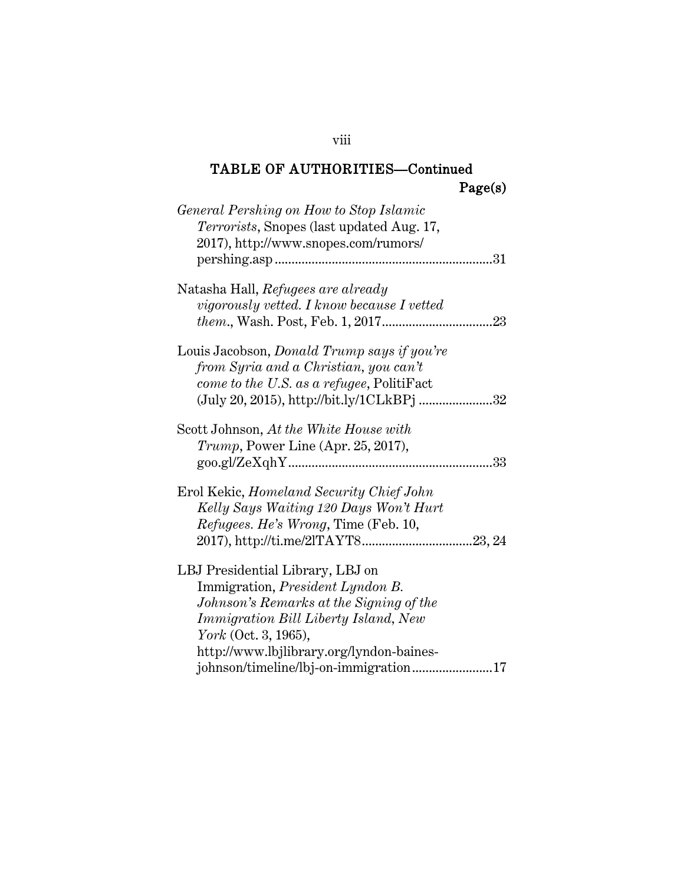| General Pershing on How to Stop Islamic<br>Terrorists, Snopes (last updated Aug. 17,<br>2017), http://www.snopes.com/rumors/                                                                                                       |
|------------------------------------------------------------------------------------------------------------------------------------------------------------------------------------------------------------------------------------|
|                                                                                                                                                                                                                                    |
| Natasha Hall, Refugees are already<br>vigorously vetted. I know because I vetted<br><i>them.</i> , Wash. Post, Feb. 1, 2017<br>.23                                                                                                 |
| Louis Jacobson, Donald Trump says if you're<br>from Syria and a Christian, you can't<br>come to the U.S. as a refugee, PolitiFact<br>(July 20, 2015), http://bit.ly/1CLkBPj 32                                                     |
| Scott Johnson, At the White House with<br>$Trump$ , Power Line (Apr. 25, 2017),<br>33                                                                                                                                              |
| Erol Kekic, Homeland Security Chief John<br>Kelly Says Waiting 120 Days Won't Hurt<br>Refugees. He's Wrong, Time (Feb. 10,                                                                                                         |
| LBJ Presidential Library, LBJ on<br>Immigration, President Lyndon B.<br>Johnson's Remarks at the Signing of the<br><i>Immigration Bill Liberty Island, New</i><br>York (Oct. 3, 1965),<br>http://www.lbjlibrary.org/lyndon-baines- |
| johnson/timeline/lbj-on-immigration17                                                                                                                                                                                              |

### viii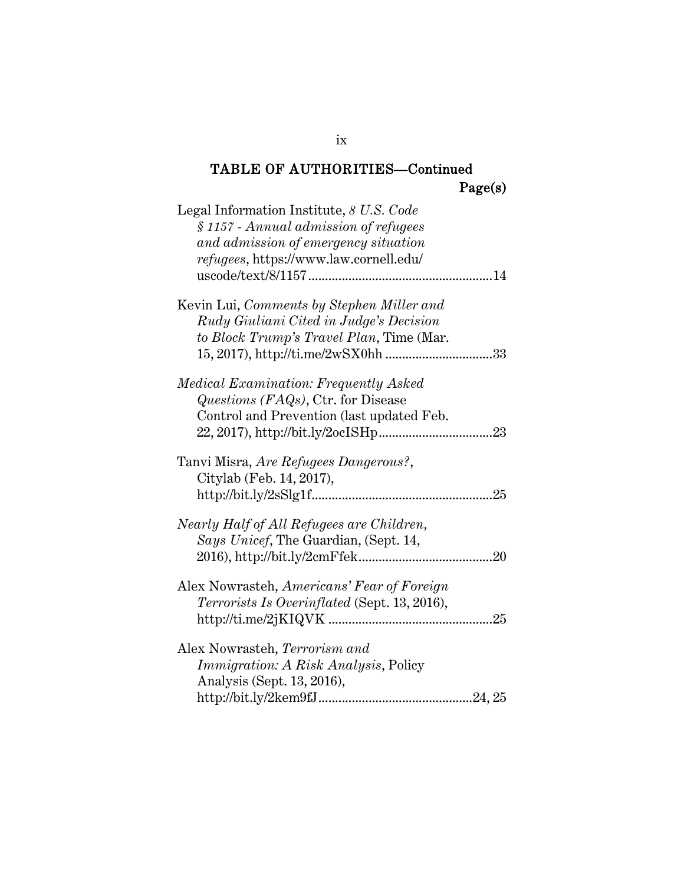| Legal Information Institute, 8 U.S. Code<br>§ 1157 - Annual admission of refugees<br>and admission of emergency situation<br>refugees, https://www.law.cornell.edu/ |
|---------------------------------------------------------------------------------------------------------------------------------------------------------------------|
| Kevin Lui, Comments by Stephen Miller and                                                                                                                           |
| Rudy Giuliani Cited in Judge's Decision<br>to Block Trump's Travel Plan, Time (Mar.                                                                                 |
| <b>Medical Examination: Frequently Asked</b><br>Questions (FAQs), Ctr. for Disease                                                                                  |
| Control and Prevention (last updated Feb.                                                                                                                           |
| Tanvi Misra, Are Refugees Dangerous?,<br>Citylab (Feb. 14, 2017),                                                                                                   |
| Nearly Half of All Refugees are Children,<br>Says Unicef, The Guardian, (Sept. 14,<br>.20                                                                           |
| Alex Nowrasteh, Americans' Fear of Foreign<br>Terrorists Is Overinflated (Sept. 13, 2016),<br>.25                                                                   |
| Alex Nowrasteh, Terrorism and<br>Immigration: A Risk Analysis, Policy<br>Analysis (Sept. 13, 2016),                                                                 |
|                                                                                                                                                                     |

ix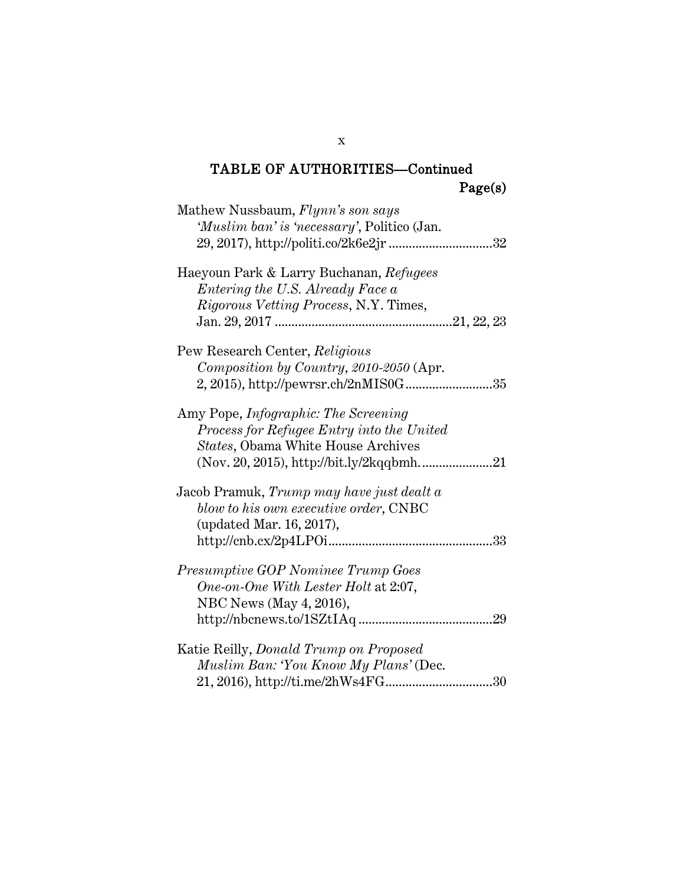| Mathew Nussbaum, Flynn's son says<br>'Muslim ban' is 'necessary', Politico (Jan.       |
|----------------------------------------------------------------------------------------|
| Haeyoun Park & Larry Buchanan, Refugees                                                |
| Entering the U.S. Already Face a                                                       |
| Rigorous Vetting Process, N.Y. Times,                                                  |
|                                                                                        |
| Pew Research Center, Religious                                                         |
| Composition by Country, 2010-2050 (Apr.                                                |
| 2, 2015), http://pewrsr.ch/2nMIS0G35                                                   |
| Amy Pope, <i>Infographic: The Screening</i>                                            |
| Process for Refugee Entry into the United                                              |
| States, Obama White House Archives                                                     |
| $(Nov. 20, 2015), http://bit.ly/2kqqbm21]$                                             |
| Jacob Pramuk, Trump may have just dealt a<br>blow to his own executive order, CNBC     |
| (updated Mar. 16, 2017),                                                               |
|                                                                                        |
| Presumptive GOP Nominee Trump Goes                                                     |
| One-on-One With Lester Holt at 2:07,                                                   |
| NBC News (May 4, 2016),                                                                |
| .29                                                                                    |
| Katie Reilly, <i>Donald Trump on Proposed</i><br>Muslim Ban: 'You Know My Plans' (Dec. |
| 21, 2016), http://ti.me/2hWs4FG30                                                      |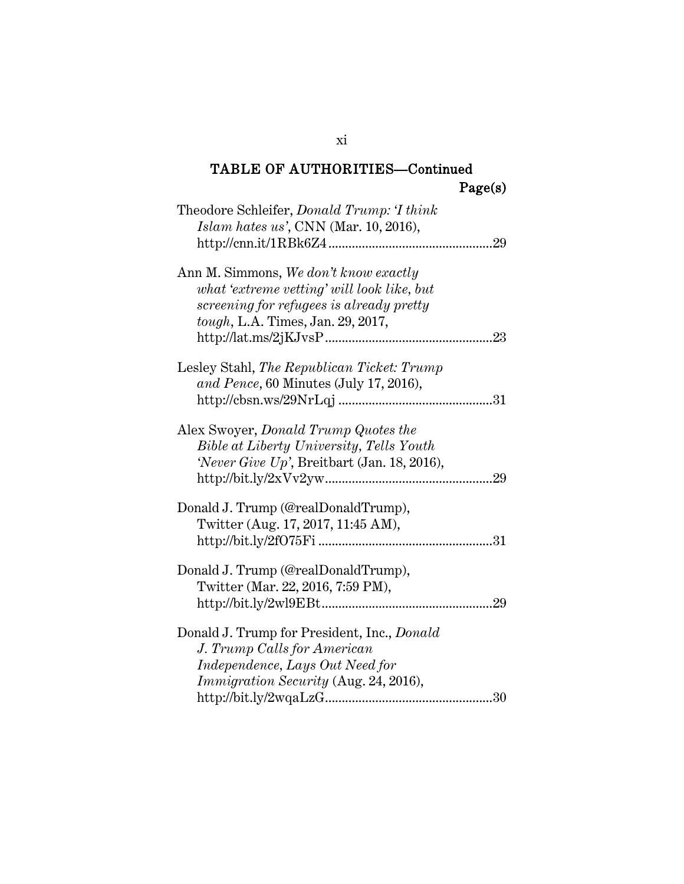| Theodore Schleifer, Donald Trump: 'I think<br>$Islam$ hates us', CNN (Mar. 10, 2016),<br>.29                                                                         |
|----------------------------------------------------------------------------------------------------------------------------------------------------------------------|
| Ann M. Simmons, We don't know exactly<br>what 'extreme vetting' will look like, but<br>screening for refugees is already pretty<br>tough, L.A. Times, Jan. 29, 2017, |
| Lesley Stahl, The Republican Ticket: Trump<br>and Pence, 60 Minutes (July 17, 2016),                                                                                 |
| Alex Swoyer, Donald Trump Quotes the<br><b>Bible at Liberty University, Tells Youth</b><br>'Never Give Up', Breitbart (Jan. 18, 2016),<br>.29                        |
| Donald J. Trump (@realDonaldTrump),<br>Twitter (Aug. 17, 2017, 11:45 AM),                                                                                            |
| Donald J. Trump (@realDonaldTrump),<br>Twitter (Mar. 22, 2016, 7:59 PM),                                                                                             |
| Donald J. Trump for President, Inc., <i>Donald</i><br>J. Trump Calls for American<br>Independence, Lays Out Need for<br>Immigration Security (Aug. 24, 2016),        |

xi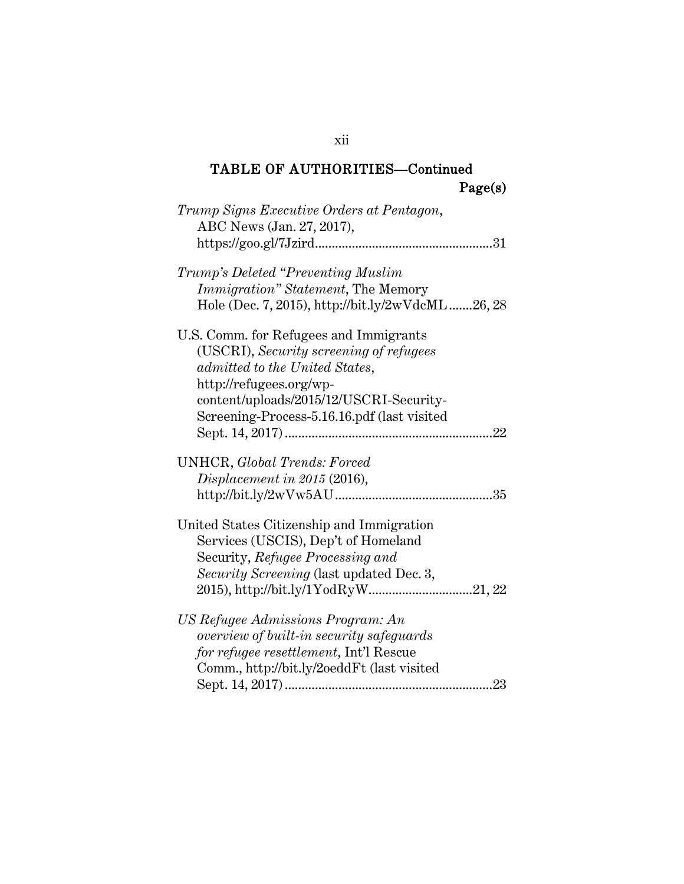| Trump Signs Executive Orders at Pentagon,<br>ABC News (Jan. 27, 2017),                                                                                                                                                                   |
|------------------------------------------------------------------------------------------------------------------------------------------------------------------------------------------------------------------------------------------|
| Trump's Deleted "Preventing Muslim<br><i>Immigration</i> " <i>Statement</i> , The Memory<br>Hole (Dec. 7, 2015), http://bit.ly/2wVdcML26, 28                                                                                             |
| U.S. Comm. for Refugees and Immigrants<br>(USCRI), Security screening of refugees<br>admitted to the United States,<br>http://refugees.org/wp-<br>content/uploads/2015/12/USCRI-Security-<br>Screening-Process-5.16.16.pdf (last visited |
| <b>UNHCR</b> , Global Trends: Forced<br>$Displacement\ in\ 2015\ (2016),$                                                                                                                                                                |
| United States Citizenship and Immigration<br>Services (USCIS), Dep't of Homeland<br>Security, Refugee Processing and<br>Security Screening (last updated Dec. 3,                                                                         |
| US Refugee Admissions Program: An<br>overview of built-in security safeguards<br>for refugee resettlement, Int'l Rescue<br>Comm., http://bit.ly/2oeddFt (last visited<br>23                                                              |

xii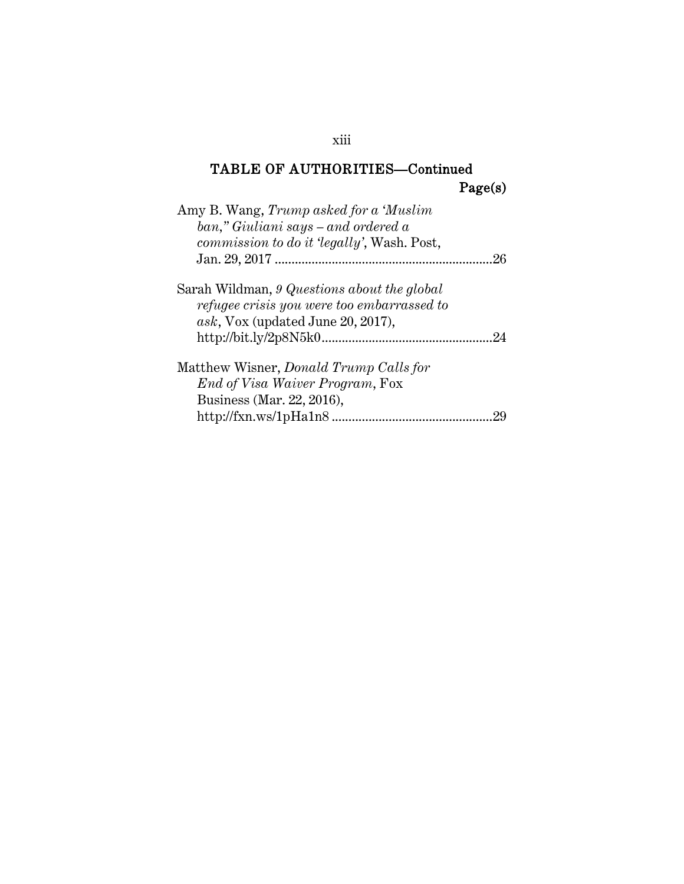| Amy B. Wang, Trump asked for a 'Muslim'            |
|----------------------------------------------------|
| ban," Giuliani says - and ordered a                |
| <i>commission to do it 'legally'</i> , Wash. Post, |
| 26                                                 |
| Sarah Wildman, 9 Questions about the global        |
| <i>refugee crisis you were too embarrassed to</i>  |
| ask, $Vox$ (updated June 20, 2017),                |
| .24                                                |
| Matthew Wisner, Donald Trump Calls for             |
| <i>End of Visa Waiver Program, Fox</i>             |
| Business (Mar. 22, 2016),                          |
|                                                    |

### xiii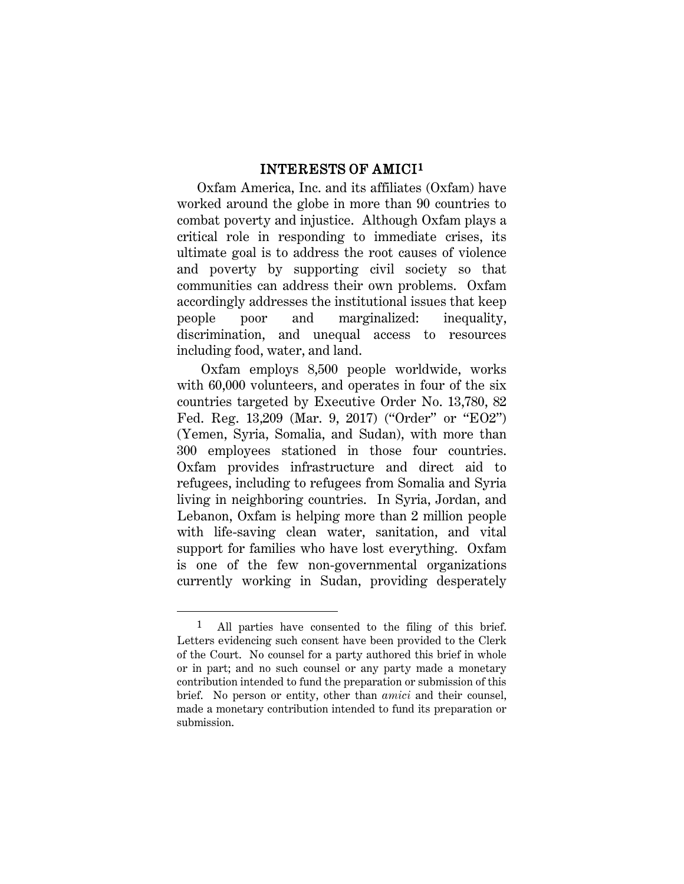#### INTERESTS OF AMICI[1](#page-15-1)

<span id="page-15-0"></span>Oxfam America, Inc. and its affiliates (Oxfam) have worked around the globe in more than 90 countries to combat poverty and injustice. Although Oxfam plays a critical role in responding to immediate crises, its ultimate goal is to address the root causes of violence and poverty by supporting civil society so that communities can address their own problems. Oxfam accordingly addresses the institutional issues that keep people poor and marginalized: inequality, discrimination, and unequal access to resources including food, water, and land.

Oxfam employs 8,500 people worldwide, works with 60,000 volunteers, and operates in four of the six countries targeted by Executive Order No. 13,780, 82 Fed. Reg. 13,209 (Mar. 9, 2017) ("Order" or "EO2") (Yemen, Syria, Somalia, and Sudan), with more than 300 employees stationed in those four countries. Oxfam provides infrastructure and direct aid to refugees, including to refugees from Somalia and Syria living in neighboring countries. In Syria, Jordan, and Lebanon, Oxfam is helping more than 2 million people with life-saving clean water, sanitation, and vital support for families who have lost everything. Oxfam is one of the few non-governmental organizations currently working in Sudan, providing desperately

<span id="page-15-1"></span><sup>1</sup> All parties have consented to the filing of this brief. Letters evidencing such consent have been provided to the Clerk of the Court. No counsel for a party authored this brief in whole or in part; and no such counsel or any party made a monetary contribution intended to fund the preparation or submission of this brief. No person or entity, other than *amici* and their counsel, made a monetary contribution intended to fund its preparation or submission.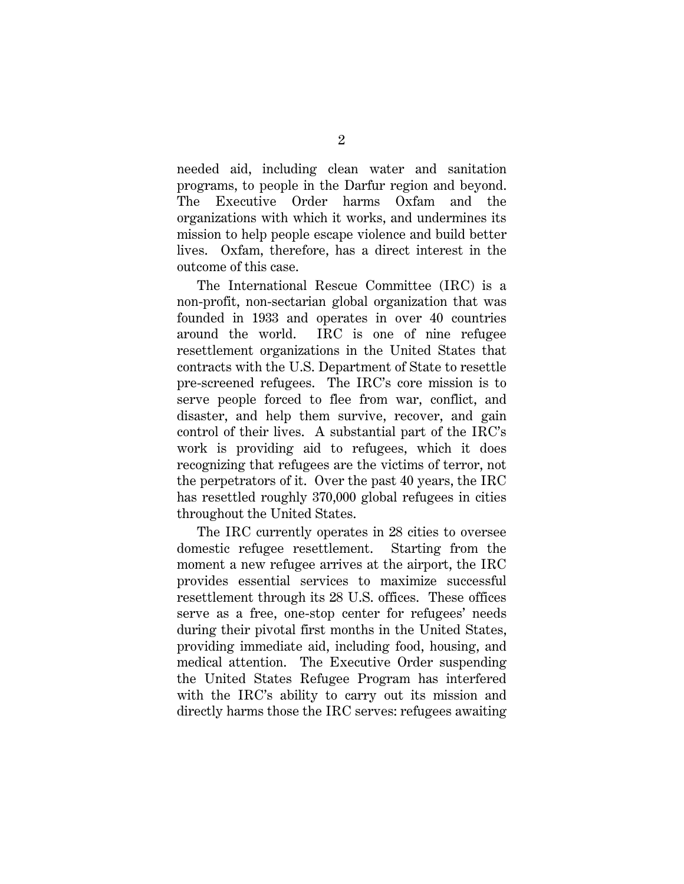needed aid, including clean water and sanitation programs, to people in the Darfur region and beyond. The Executive Order harms Oxfam and the organizations with which it works, and undermines its mission to help people escape violence and build better lives. Oxfam, therefore, has a direct interest in the outcome of this case.

The International Rescue Committee (IRC) is a non-profit, non-sectarian global organization that was founded in 1933 and operates in over 40 countries around the world. IRC is one of nine refugee resettlement organizations in the United States that contracts with the U.S. Department of State to resettle pre-screened refugees. The IRC's core mission is to serve people forced to flee from war, conflict, and disaster, and help them survive, recover, and gain control of their lives. A substantial part of the IRC's work is providing aid to refugees, which it does recognizing that refugees are the victims of terror, not the perpetrators of it. Over the past 40 years, the IRC has resettled roughly 370,000 global refugees in cities throughout the United States.

The IRC currently operates in 28 cities to oversee domestic refugee resettlement. Starting from the moment a new refugee arrives at the airport, the IRC provides essential services to maximize successful resettlement through its 28 U.S. offices. These offices serve as a free, one-stop center for refugees' needs during their pivotal first months in the United States, providing immediate aid, including food, housing, and medical attention. The Executive Order suspending the United States Refugee Program has interfered with the IRC's ability to carry out its mission and directly harms those the IRC serves: refugees awaiting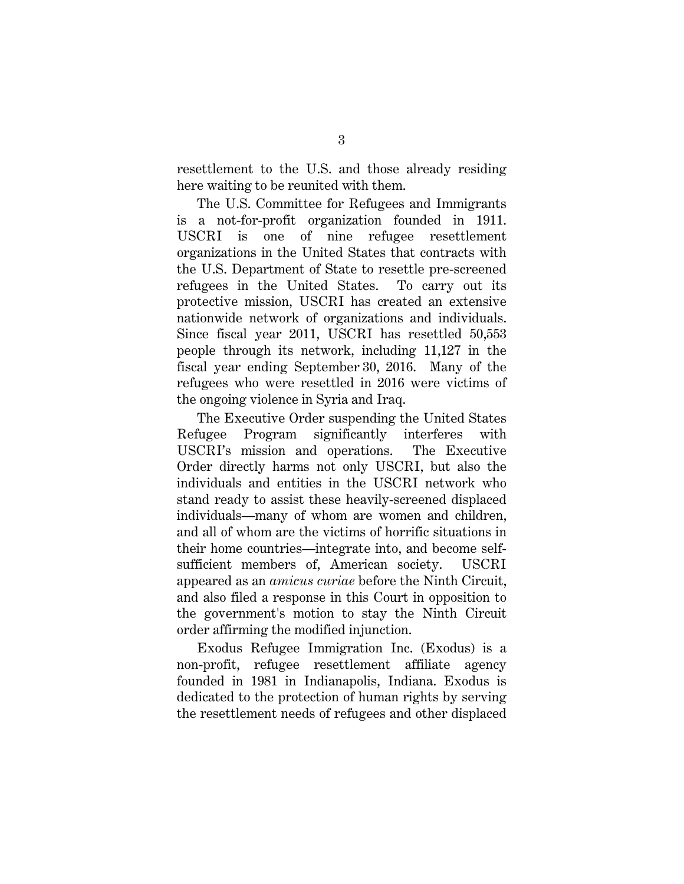resettlement to the U.S. and those already residing here waiting to be reunited with them.

The U.S. Committee for Refugees and Immigrants is a not-for-profit organization founded in 1911. USCRI is one of nine refugee resettlement organizations in the United States that contracts with the U.S. Department of State to resettle pre-screened refugees in the United States. To carry out its protective mission, USCRI has created an extensive nationwide network of organizations and individuals. Since fiscal year 2011, USCRI has resettled 50,553 people through its network, including 11,127 in the fiscal year ending September 30, 2016. Many of the refugees who were resettled in 2016 were victims of the ongoing violence in Syria and Iraq.

The Executive Order suspending the United States Refugee Program significantly interferes with USCRI's mission and operations. The Executive Order directly harms not only USCRI, but also the individuals and entities in the USCRI network who stand ready to assist these heavily-screened displaced individuals—many of whom are women and children, and all of whom are the victims of horrific situations in their home countries—integrate into, and become selfsufficient members of, American society. USCRI appeared as an *amicus curiae* before the Ninth Circuit, and also filed a response in this Court in opposition to the government's motion to stay the Ninth Circuit order affirming the modified injunction.

Exodus Refugee Immigration Inc. (Exodus) is a non-profit, refugee resettlement affiliate agency founded in 1981 in Indianapolis, Indiana. Exodus is dedicated to the protection of human rights by serving the resettlement needs of refugees and other displaced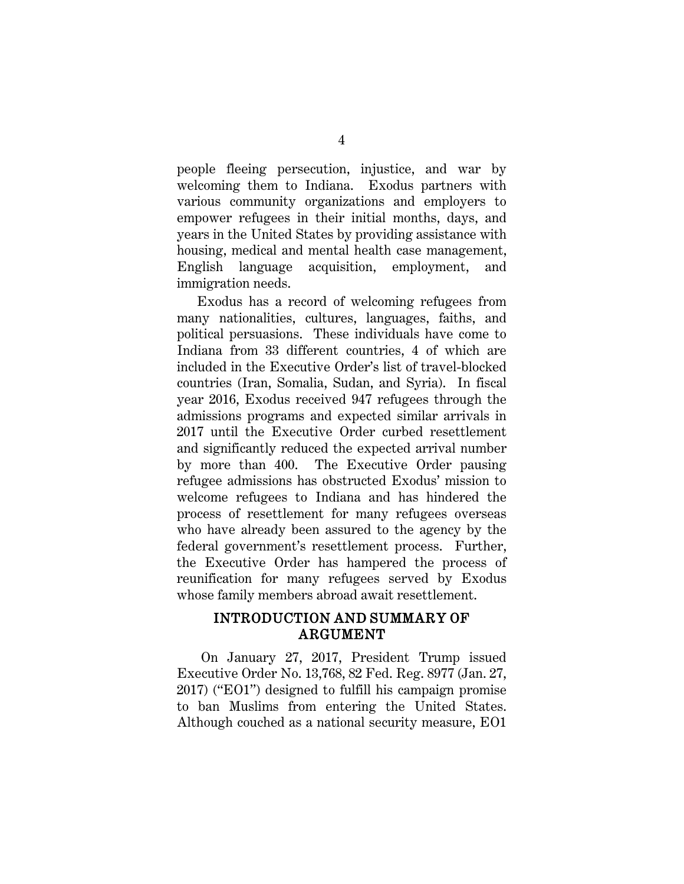people fleeing persecution, injustice, and war by welcoming them to Indiana. Exodus partners with various community organizations and employers to empower refugees in their initial months, days, and years in the United States by providing assistance with housing, medical and mental health case management, English language acquisition, employment, and immigration needs.

Exodus has a record of welcoming refugees from many nationalities, cultures, languages, faiths, and political persuasions. These individuals have come to Indiana from 33 different countries, 4 of which are included in the Executive Order's list of travel-blocked countries (Iran, Somalia, Sudan, and Syria). In fiscal year 2016, Exodus received 947 refugees through the admissions programs and expected similar arrivals in 2017 until the Executive Order curbed resettlement and significantly reduced the expected arrival number by more than 400. The Executive Order pausing refugee admissions has obstructed Exodus' mission to welcome refugees to Indiana and has hindered the process of resettlement for many refugees overseas who have already been assured to the agency by the federal government's resettlement process. Further, the Executive Order has hampered the process of reunification for many refugees served by Exodus whose family members abroad await resettlement.

#### <span id="page-18-0"></span>INTRODUCTION AND SUMMARY OF ARGUMENT

On January 27, 2017, President Trump issued Executive Order No. 13,768, 82 Fed. Reg. 8977 (Jan. 27, 2017) ("EO1") designed to fulfill his campaign promise to ban Muslims from entering the United States. Although couched as a national security measure, EO1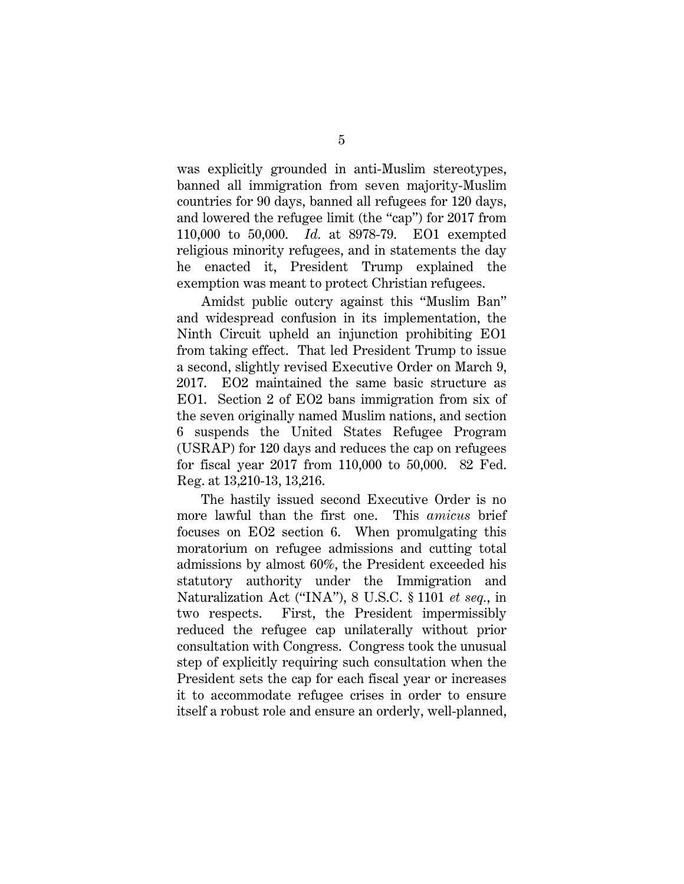was explicitly grounded in anti-Muslim stereotypes, banned all immigration from seven majority-Muslim countries for 90 days, banned all refugees for 120 days, and lowered the refugee limit (the "cap") for 2017 from 110,000 to 50,000. *Id.* at 8978-79. EO1 exempted religious minority refugees, and in statements the day he enacted it, President Trump explained the exemption was meant to protect Christian refugees.

Amidst public outcry against this "Muslim Ban" and widespread confusion in its implementation, the Ninth Circuit upheld an injunction prohibiting EO1 from taking effect. That led President Trump to issue a second, slightly revised Executive Order on March 9, 2017. EO2 maintained the same basic structure as EO1. Section 2 of EO2 bans immigration from six of the seven originally named Muslim nations, and section 6 suspends the United States Refugee Program (USRAP) for 120 days and reduces the cap on refugees for fiscal year 2017 from 110,000 to 50,000. 82 Fed. Reg. at 13,210-13, 13,216.

The hastily issued second Executive Order is no more lawful than the first one. This *amicus* brief focuses on EO2 section 6. When promulgating this moratorium on refugee admissions and cutting total admissions by almost 60%, the President exceeded his statutory authority under the Immigration and Naturalization Act ("INA"), 8 U.S.C. § 1101 *et seq.*, in two respects. First, the President impermissibly reduced the refugee cap unilaterally without prior consultation with Congress. Congress took the unusual step of explicitly requiring such consultation when the President sets the cap for each fiscal year or increases it to accommodate refugee crises in order to ensure itself a robust role and ensure an orderly, well-planned,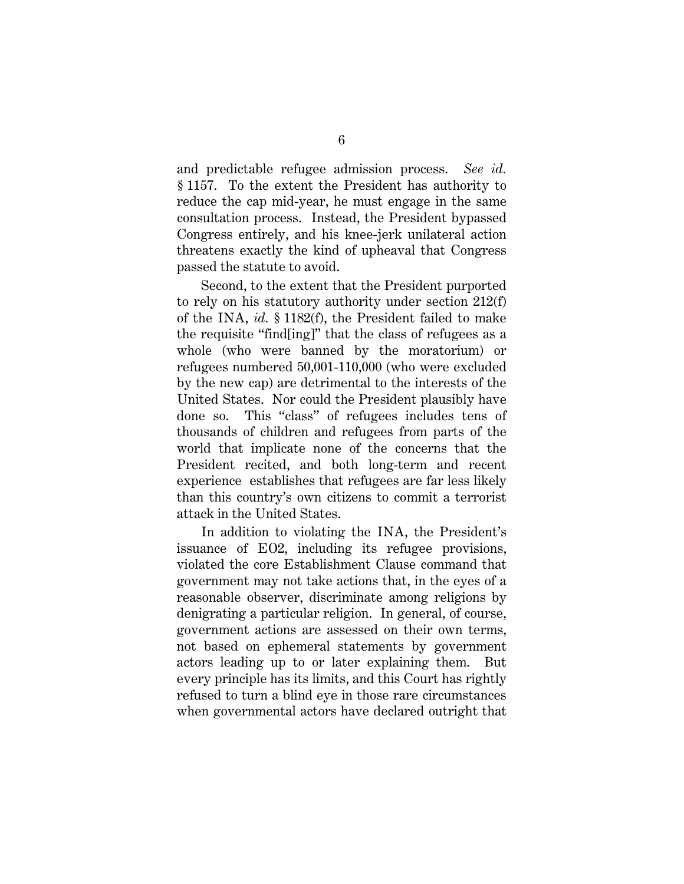and predictable refugee admission process. *See id.* § 1157. To the extent the President has authority to reduce the cap mid-year, he must engage in the same consultation process. Instead, the President bypassed Congress entirely, and his knee-jerk unilateral action threatens exactly the kind of upheaval that Congress passed the statute to avoid.

Second, to the extent that the President purported to rely on his statutory authority under section 212(f) of the INA, *id.* § 1182(f), the President failed to make the requisite "find[ing]" that the class of refugees as a whole (who were banned by the moratorium) or refugees numbered 50,001-110,000 (who were excluded by the new cap) are detrimental to the interests of the United States. Nor could the President plausibly have done so. This "class" of refugees includes tens of thousands of children and refugees from parts of the world that implicate none of the concerns that the President recited, and both long-term and recent experience establishes that refugees are far less likely than this country's own citizens to commit a terrorist attack in the United States.

In addition to violating the INA, the President's issuance of EO2, including its refugee provisions, violated the core Establishment Clause command that government may not take actions that, in the eyes of a reasonable observer, discriminate among religions by denigrating a particular religion. In general, of course, government actions are assessed on their own terms, not based on ephemeral statements by government actors leading up to or later explaining them. But every principle has its limits, and this Court has rightly refused to turn a blind eye in those rare circumstances when governmental actors have declared outright that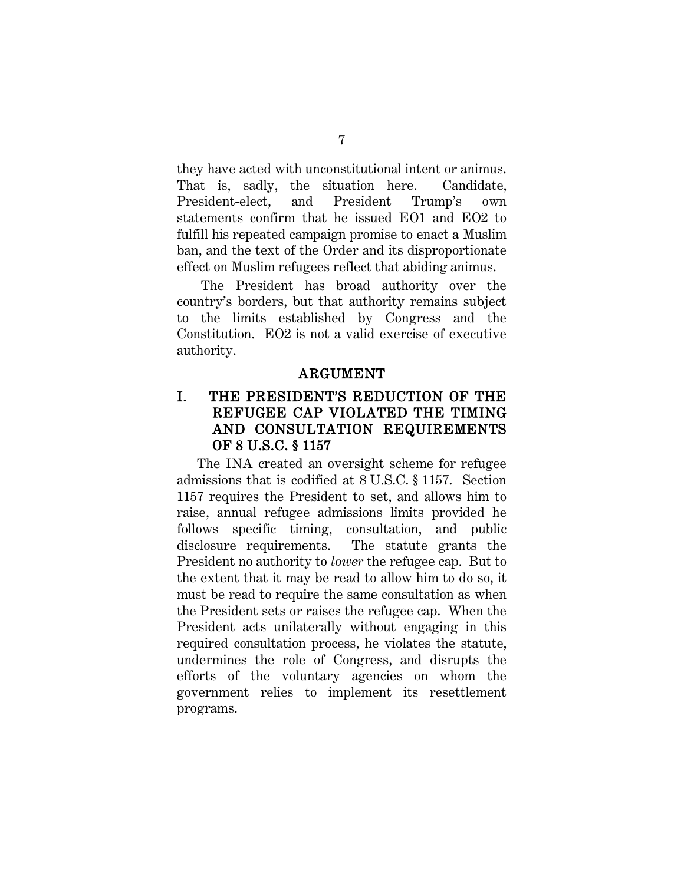they have acted with unconstitutional intent or animus. That is, sadly, the situation here. Candidate, President-elect, and President Trump's own statements confirm that he issued EO1 and EO2 to fulfill his repeated campaign promise to enact a Muslim ban, and the text of the Order and its disproportionate effect on Muslim refugees reflect that abiding animus.

The President has broad authority over the country's borders, but that authority remains subject to the limits established by Congress and the Constitution. EO2 is not a valid exercise of executive authority.

#### ARGUMENT

#### <span id="page-21-1"></span><span id="page-21-0"></span>I. THE PRESIDENT'S REDUCTION OF THE REFUGEE CAP VIOLATED THE TIMING AND CONSULTATION REQUIREMENTS OF 8 U.S.C. § 1157

The INA created an oversight scheme for refugee admissions that is codified at 8 U.S.C. § 1157. Section 1157 requires the President to set, and allows him to raise, annual refugee admissions limits provided he follows specific timing, consultation, and public disclosure requirements. The statute grants the President no authority to *lower* the refugee cap. But to the extent that it may be read to allow him to do so, it must be read to require the same consultation as when the President sets or raises the refugee cap. When the President acts unilaterally without engaging in this required consultation process, he violates the statute, undermines the role of Congress, and disrupts the efforts of the voluntary agencies on whom the government relies to implement its resettlement programs.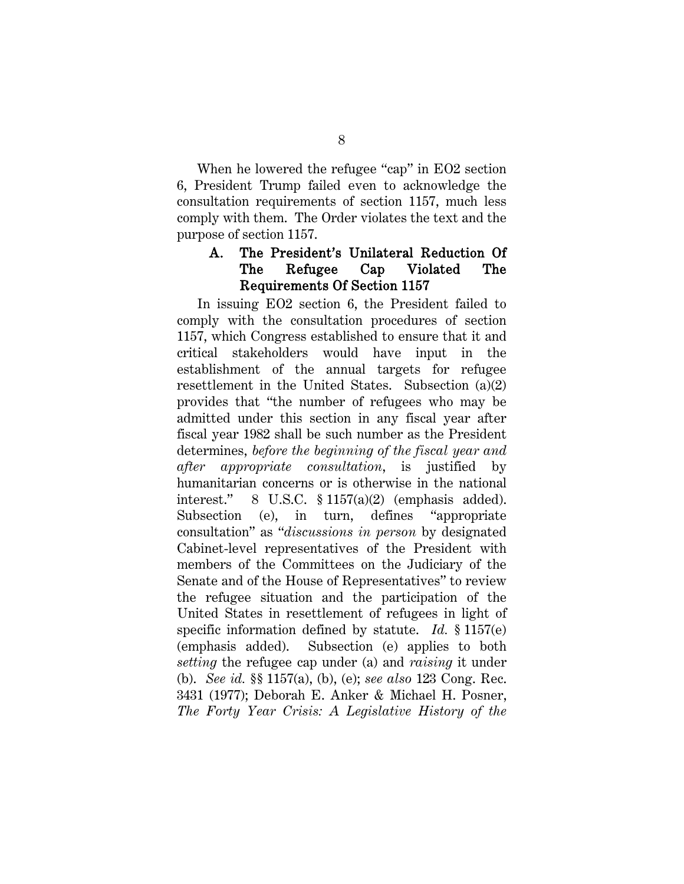When he lowered the refugee "cap" in EO2 section 6, President Trump failed even to acknowledge the consultation requirements of section 1157, much less comply with them. The Order violates the text and the purpose of section 1157.

#### <span id="page-22-0"></span>A. The President's Unilateral Reduction Of The Refugee Cap Violated The Requirements Of Section 1157

In issuing EO2 section 6, the President failed to comply with the consultation procedures of section 1157, which Congress established to ensure that it and critical stakeholders would have input in the establishment of the annual targets for refugee resettlement in the United States. Subsection (a)(2) provides that "the number of refugees who may be admitted under this section in any fiscal year after fiscal year 1982 shall be such number as the President determines, *before the beginning of the fiscal year and after appropriate consultation*, is justified by humanitarian concerns or is otherwise in the national interest." 8 U.S.C. § 1157(a)(2) (emphasis added). Subsection (e), in turn, defines "appropriate consultation" as "*discussions in person* by designated Cabinet-level representatives of the President with members of the Committees on the Judiciary of the Senate and of the House of Representatives" to review the refugee situation and the participation of the United States in resettlement of refugees in light of specific information defined by statute. *Id.* § 1157(e) (emphasis added). Subsection (e) applies to both *setting* the refugee cap under (a) and *raising* it under (b). *See id.* §§ 1157(a), (b), (e); *see also* 123 Cong. Rec. 3431 (1977); Deborah E. Anker & Michael H. Posner, *The Forty Year Crisis: A Legislative History of the*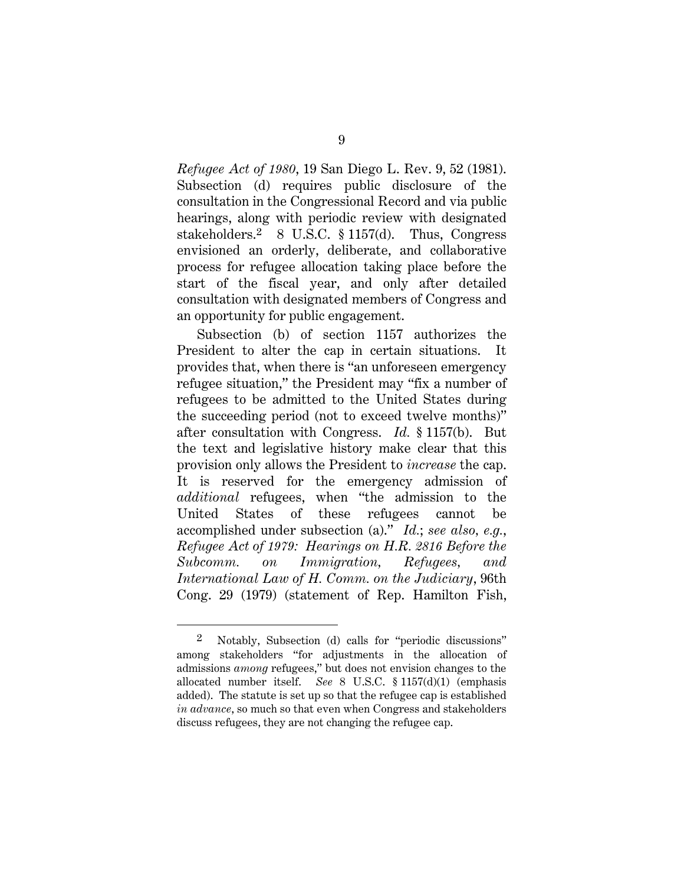*Refugee Act of 1980*, 19 San Diego L. Rev. 9, 52 (1981). Subsection (d) requires public disclosure of the consultation in the Congressional Record and via public hearings, along with periodic review with designated stakeholders.[2](#page-23-0) 8 U.S.C. § 1157(d). Thus, Congress envisioned an orderly, deliberate, and collaborative process for refugee allocation taking place before the start of the fiscal year, and only after detailed consultation with designated members of Congress and an opportunity for public engagement.

Subsection (b) of section 1157 authorizes the President to alter the cap in certain situations. It provides that, when there is "an unforeseen emergency refugee situation," the President may "fix a number of refugees to be admitted to the United States during the succeeding period (not to exceed twelve months)" after consultation with Congress. *Id.* § 1157(b). But the text and legislative history make clear that this provision only allows the President to *increase* the cap. It is reserved for the emergency admission of *additional* refugees, when "the admission to the United States of these refugees cannot be accomplished under subsection (a)." *Id.*; *see also, e.g.*, *Refugee Act of 1979: Hearings on H.R. 2816 Before the Subcomm. on Immigration, Refugees, and International Law of H. Comm. on the Judiciary*, 96th Cong. 29 (1979) (statement of Rep. Hamilton Fish,

<span id="page-23-0"></span><sup>2</sup> Notably, Subsection (d) calls for "periodic discussions" among stakeholders "for adjustments in the allocation of admissions *among* refugees," but does not envision changes to the allocated number itself. *See* 8 U.S.C. § 1157(d)(1) (emphasis added). The statute is set up so that the refugee cap is established *in advance*, so much so that even when Congress and stakeholders discuss refugees, they are not changing the refugee cap.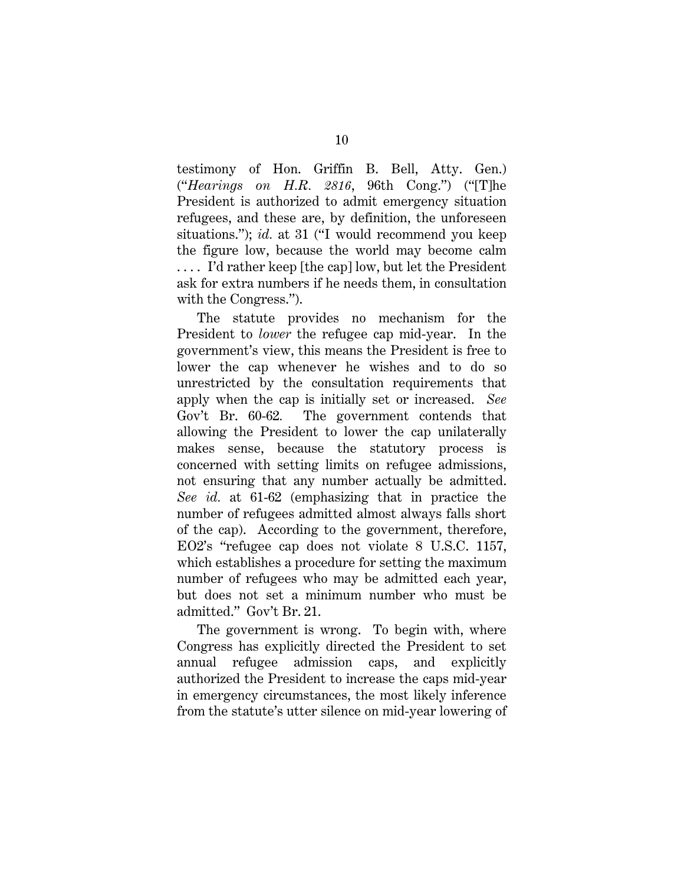testimony of Hon. Griffin B. Bell, Atty. Gen.) ("*Hearings on H.R. 2816*, 96th Cong.") ("[T]he President is authorized to admit emergency situation refugees, and these are, by definition, the unforeseen situations."); *id.* at 31 ("I would recommend you keep the figure low, because the world may become calm . . . . I'd rather keep [the cap] low, but let the President ask for extra numbers if he needs them, in consultation with the Congress.").

The statute provides no mechanism for the President to *lower* the refugee cap mid-year. In the government's view, this means the President is free to lower the cap whenever he wishes and to do so unrestricted by the consultation requirements that apply when the cap is initially set or increased. *See*  Gov't Br. 60-62*.* The government contends that allowing the President to lower the cap unilaterally makes sense, because the statutory process is concerned with setting limits on refugee admissions, not ensuring that any number actually be admitted. *See id.* at 61-62 (emphasizing that in practice the number of refugees admitted almost always falls short of the cap). According to the government, therefore, EO2's "refugee cap does not violate 8 U.S.C. 1157, which establishes a procedure for setting the maximum number of refugees who may be admitted each year, but does not set a minimum number who must be admitted." Gov't Br. 21.

The government is wrong. To begin with, where Congress has explicitly directed the President to set annual refugee admission caps, and explicitly authorized the President to increase the caps mid-year in emergency circumstances, the most likely inference from the statute's utter silence on mid-year lowering of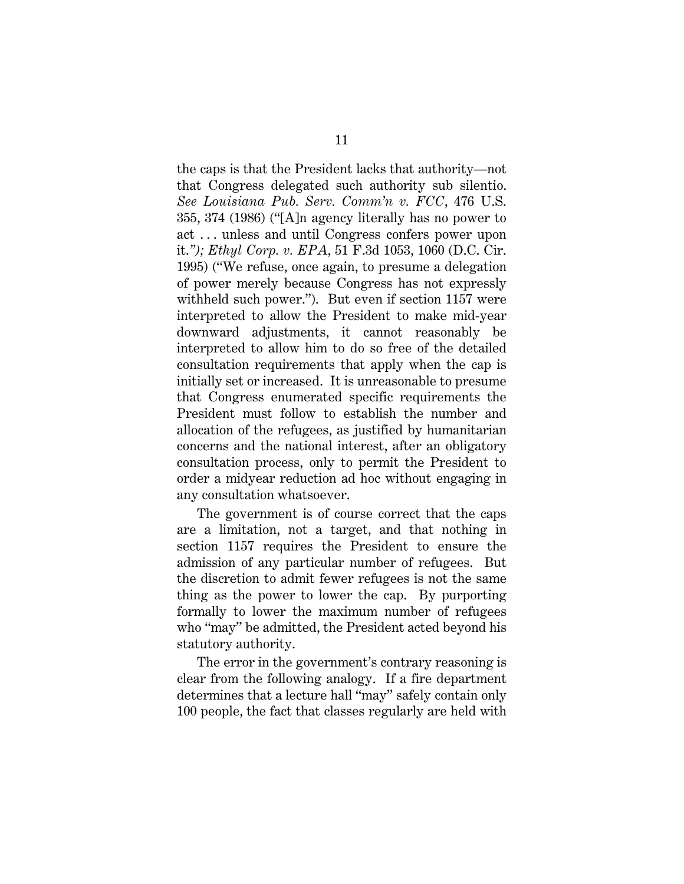the caps is that the President lacks that authority—not that Congress delegated such authority sub silentio. *See Louisiana Pub. Serv. Comm'n v. FCC*, 476 U.S. 355, 374 (1986) ("[A]n agency literally has no power to act . . . unless and until Congress confers power upon it.*"); Ethyl Corp. v. EPA*, 51 F.3d 1053, 1060 (D.C. Cir. 1995) ("We refuse, once again, to presume a delegation of power merely because Congress has not expressly withheld such power."). But even if section 1157 were interpreted to allow the President to make mid-year downward adjustments, it cannot reasonably be interpreted to allow him to do so free of the detailed consultation requirements that apply when the cap is initially set or increased. It is unreasonable to presume that Congress enumerated specific requirements the President must follow to establish the number and allocation of the refugees, as justified by humanitarian concerns and the national interest, after an obligatory consultation process, only to permit the President to order a midyear reduction ad hoc without engaging in any consultation whatsoever.

The government is of course correct that the caps are a limitation, not a target, and that nothing in section 1157 requires the President to ensure the admission of any particular number of refugees. But the discretion to admit fewer refugees is not the same thing as the power to lower the cap. By purporting formally to lower the maximum number of refugees who "may" be admitted, the President acted beyond his statutory authority.

The error in the government's contrary reasoning is clear from the following analogy. If a fire department determines that a lecture hall "may" safely contain only 100 people, the fact that classes regularly are held with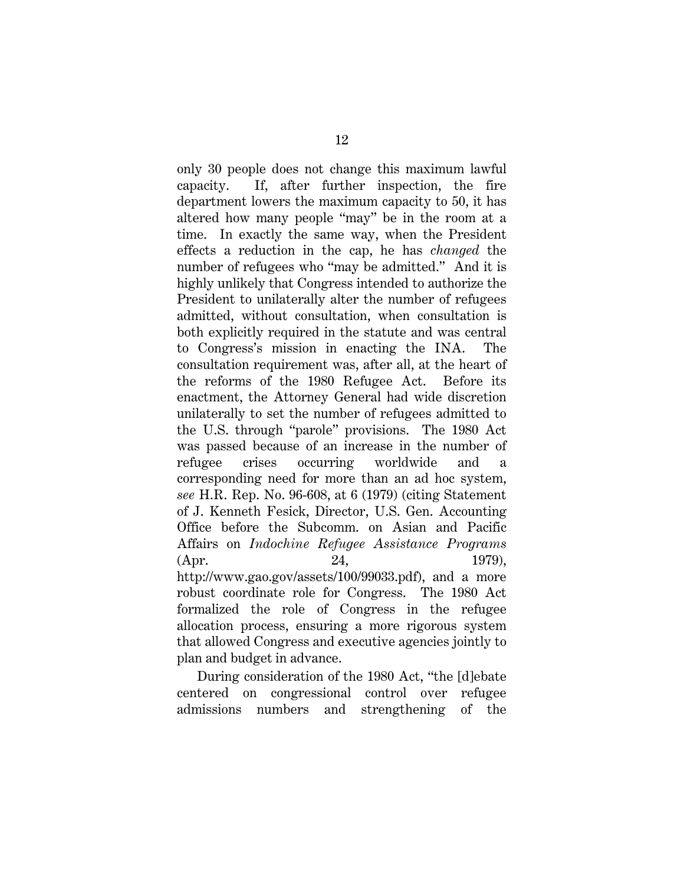only 30 people does not change this maximum lawful capacity. If, after further inspection, the fire department lowers the maximum capacity to 50, it has altered how many people "may" be in the room at a time. In exactly the same way, when the President effects a reduction in the cap, he has *changed* the number of refugees who "may be admitted." And it is highly unlikely that Congress intended to authorize the President to unilaterally alter the number of refugees admitted, without consultation, when consultation is both explicitly required in the statute and was central to Congress's mission in enacting the INA. The consultation requirement was, after all, at the heart of the reforms of the 1980 Refugee Act. Before its enactment, the Attorney General had wide discretion unilaterally to set the number of refugees admitted to the U.S. through "parole" provisions. The 1980 Act was passed because of an increase in the number of refugee crises occurring worldwide and a corresponding need for more than an ad hoc system, *see* H.R. Rep. No. 96-608, at 6 (1979) (citing Statement of J. Kenneth Fesick, Director, U.S. Gen. Accounting Office before the Subcomm. on Asian and Pacific Affairs on *Indochine Refugee Assistance Programs* (Apr. 24, 1979), http://www.gao.gov/assets/100/99033.pdf), and a more robust coordinate role for Congress. The 1980 Act formalized the role of Congress in the refugee allocation process, ensuring a more rigorous system that allowed Congress and executive agencies jointly to plan and budget in advance.

During consideration of the 1980 Act, "the [d]ebate centered on congressional control over refugee admissions numbers and strengthening of the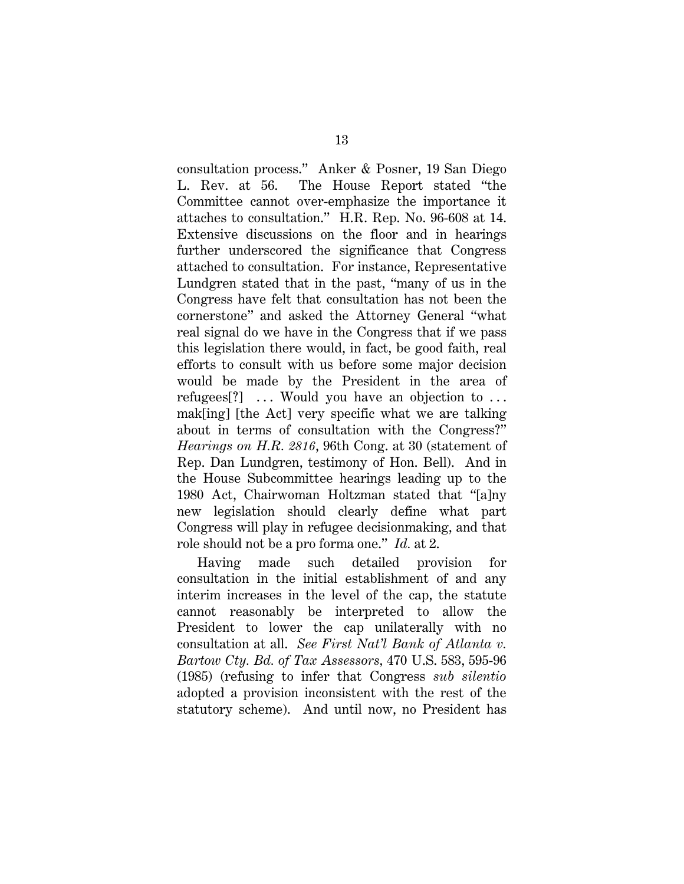consultation process." Anker & Posner, 19 San Diego L. Rev. at 56. The House Report stated "the Committee cannot over-emphasize the importance it attaches to consultation." H.R. Rep. No. 96-608 at 14. Extensive discussions on the floor and in hearings further underscored the significance that Congress attached to consultation. For instance, Representative Lundgren stated that in the past, "many of us in the Congress have felt that consultation has not been the cornerstone" and asked the Attorney General "what real signal do we have in the Congress that if we pass this legislation there would, in fact, be good faith, real efforts to consult with us before some major decision would be made by the President in the area of refugees[?]  $\ldots$  Would you have an objection to  $\ldots$ mak[ing] [the Act] very specific what we are talking about in terms of consultation with the Congress?" *Hearings on H.R. 2816*, 96th Cong. at 30 (statement of Rep. Dan Lundgren, testimony of Hon. Bell). And in the House Subcommittee hearings leading up to the 1980 Act, Chairwoman Holtzman stated that "[a]ny new legislation should clearly define what part Congress will play in refugee decisionmaking, and that role should not be a pro forma one." *Id.* at 2.

Having made such detailed provision for consultation in the initial establishment of and any interim increases in the level of the cap, the statute cannot reasonably be interpreted to allow the President to lower the cap unilaterally with no consultation at all. *See First Nat'l Bank of Atlanta v. Bartow Cty. Bd. of Tax Assessors,* 470 U.S. 583, 595-96 (1985) (refusing to infer that Congress *sub silentio*  adopted a provision inconsistent with the rest of the statutory scheme). And until now, no President has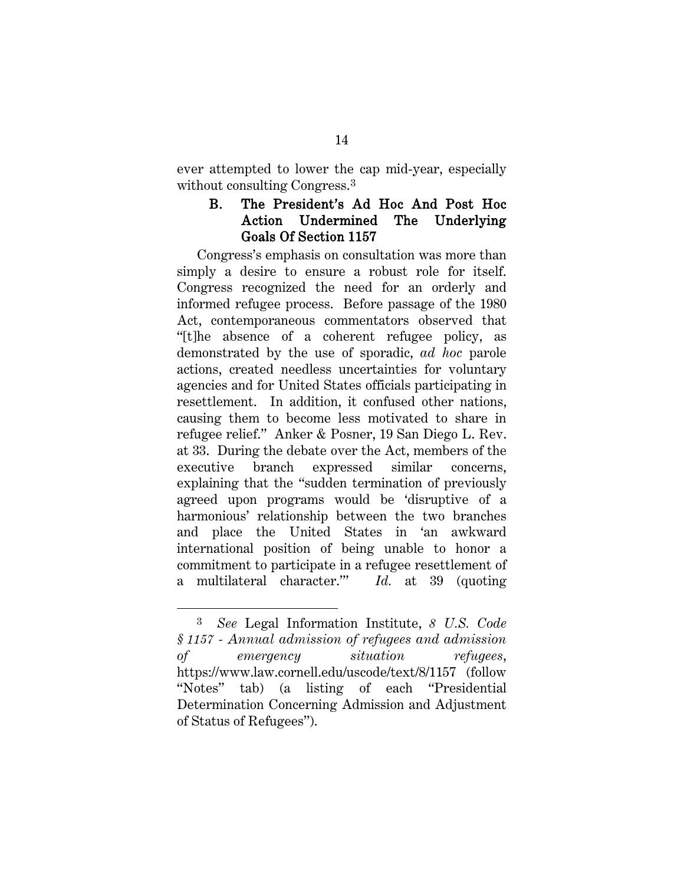<span id="page-28-0"></span>ever attempted to lower the cap mid-year, especially without consulting Congress.<sup>[3](#page-28-1)</sup>

#### B. The President's Ad Hoc And Post Hoc Action Undermined The Underlying Goals Of Section 1157

Congress's emphasis on consultation was more than simply a desire to ensure a robust role for itself. Congress recognized the need for an orderly and informed refugee process. Before passage of the 1980 Act, contemporaneous commentators observed that "[t]he absence of a coherent refugee policy, as demonstrated by the use of sporadic, *ad hoc* parole actions, created needless uncertainties for voluntary agencies and for United States officials participating in resettlement. In addition, it confused other nations, causing them to become less motivated to share in refugee relief." Anker & Posner, 19 San Diego L. Rev. at 33. During the debate over the Act, members of the executive branch expressed similar concerns, explaining that the "sudden termination of previously agreed upon programs would be 'disruptive of a harmonious' relationship between the two branches and place the United States in 'an awkward international position of being unable to honor a commitment to participate in a refugee resettlement of a multilateral character.'" *Id.* at 39 (quoting

<span id="page-28-1"></span><sup>3</sup> *See* Legal Information Institute, *8 U.S. Code § 1157 - Annual admission of refugees and admission of emergency situation refugees*, https://www.law.cornell.edu/uscode/text/8/1157 (follow "Notes" tab) (a listing of each "Presidential Determination Concerning Admission and Adjustment of Status of Refugees").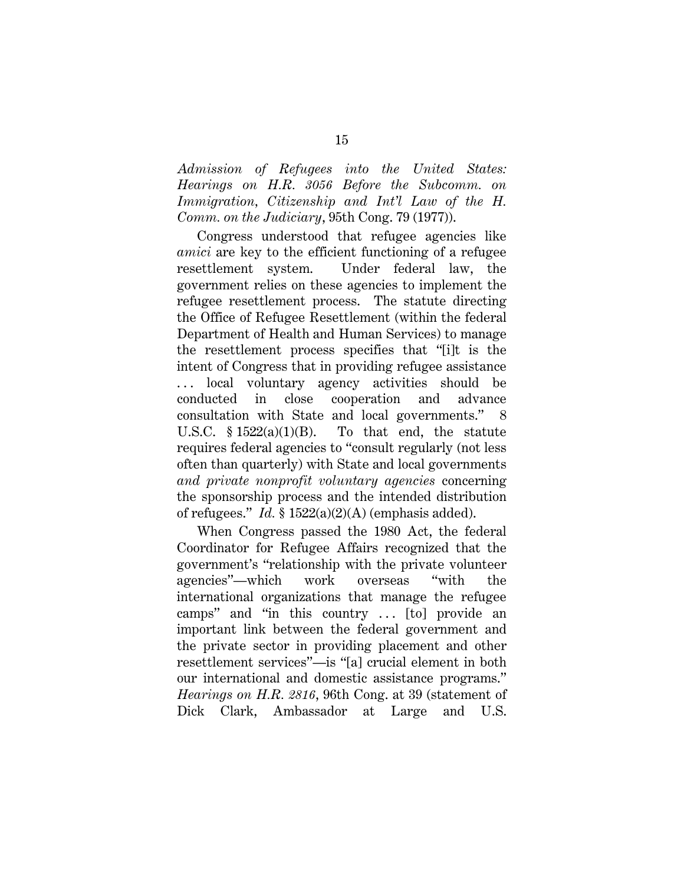*Admission of Refugees into the United States: Hearings on H.R. 3056 Before the Subcomm. on Immigration, Citizenship and Int'l Law of the H. Comm. on the Judiciary*, 95th Cong. 79 (1977)).

Congress understood that refugee agencies like *amici* are key to the efficient functioning of a refugee resettlement system. Under federal law, the government relies on these agencies to implement the refugee resettlement process. The statute directing the Office of Refugee Resettlement (within the federal Department of Health and Human Services) to manage the resettlement process specifies that "[i]t is the intent of Congress that in providing refugee assistance ... local voluntary agency activities should be conducted in close cooperation and advance consultation with State and local governments." U.S.C.  $$ 1522(a)(1)(B)$ . To that end, the statute requires federal agencies to "consult regularly (not less often than quarterly) with State and local governments *and private nonprofit voluntary agencies* concerning the sponsorship process and the intended distribution of refugees." *Id.* § 1522(a)(2)(A) (emphasis added).

When Congress passed the 1980 Act, the federal Coordinator for Refugee Affairs recognized that the government's "relationship with the private volunteer agencies"—which work overseas "with the international organizations that manage the refugee camps" and "in this country ... [to] provide an important link between the federal government and the private sector in providing placement and other resettlement services"—is "[a] crucial element in both our international and domestic assistance programs." *Hearings on H.R. 2816*, 96th Cong. at 39 (statement of Dick Clark, Ambassador at Large and U.S.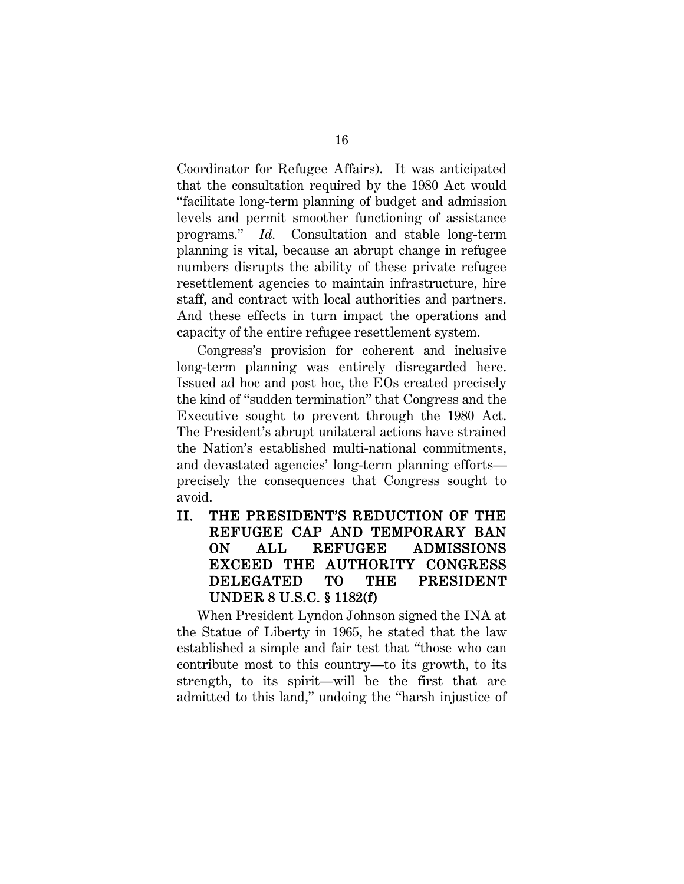Coordinator for Refugee Affairs). It was anticipated that the consultation required by the 1980 Act would "facilitate long-term planning of budget and admission levels and permit smoother functioning of assistance programs." *Id.* Consultation and stable long-term planning is vital, because an abrupt change in refugee numbers disrupts the ability of these private refugee resettlement agencies to maintain infrastructure, hire staff, and contract with local authorities and partners. And these effects in turn impact the operations and capacity of the entire refugee resettlement system.

Congress's provision for coherent and inclusive long-term planning was entirely disregarded here. Issued ad hoc and post hoc, the EOs created precisely the kind of "sudden termination" that Congress and the Executive sought to prevent through the 1980 Act. The President's abrupt unilateral actions have strained the Nation's established multi-national commitments, and devastated agencies' long-term planning efforts precisely the consequences that Congress sought to avoid.

<span id="page-30-0"></span>II. THE PRESIDENT'S REDUCTION OF THE REFUGEE CAP AND TEMPORARY BAN ON ALL REFUGEE ADMISSIONS EXCEED THE AUTHORITY CONGRESS DELEGATED TO THE PRESIDENT UNDER 8 U.S.C. § 1182(f)

When President Lyndon Johnson signed the INA at the Statue of Liberty in 1965, he stated that the law established a simple and fair test that "those who can contribute most to this country—to its growth, to its strength, to its spirit—will be the first that are admitted to this land," undoing the "harsh injustice of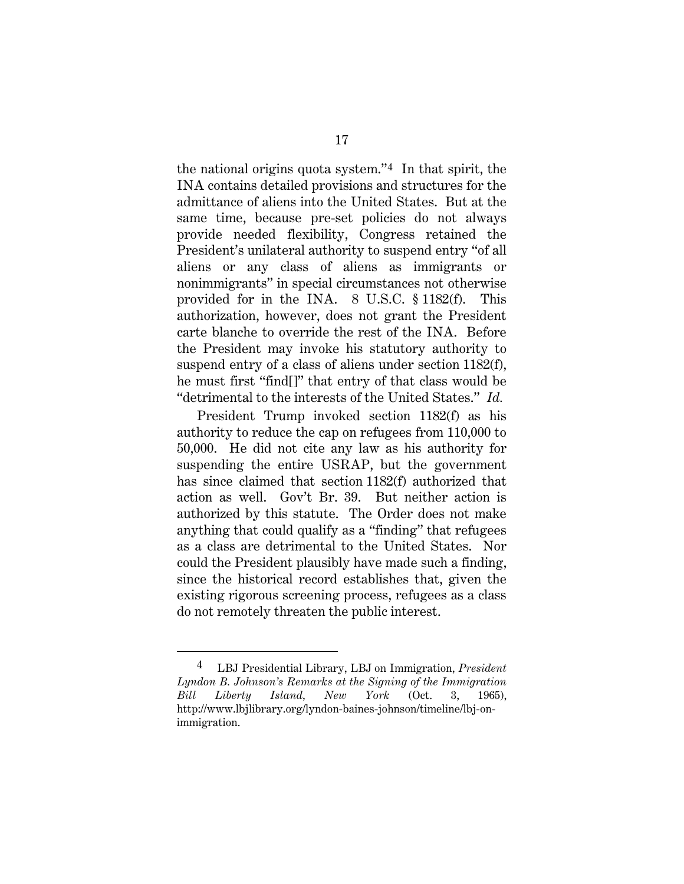the national origins quota system."[4](#page-31-0) In that spirit, the INA contains detailed provisions and structures for the admittance of aliens into the United States. But at the same time, because pre-set policies do not always provide needed flexibility, Congress retained the President's unilateral authority to suspend entry "of all aliens or any class of aliens as immigrants or nonimmigrants" in special circumstances not otherwise provided for in the INA. 8 U.S.C. § 1182(f). This authorization, however, does not grant the President carte blanche to override the rest of the INA. Before the President may invoke his statutory authority to suspend entry of a class of aliens under section 1182(f), he must first "find[]" that entry of that class would be "detrimental to the interests of the United States." *Id.*

President Trump invoked section 1182(f) as his authority to reduce the cap on refugees from 110,000 to 50,000. He did not cite any law as his authority for suspending the entire USRAP, but the government has since claimed that section 1182(f) authorized that action as well. Gov't Br. 39. But neither action is authorized by this statute. The Order does not make anything that could qualify as a "finding" that refugees as a class are detrimental to the United States. Nor could the President plausibly have made such a finding, since the historical record establishes that, given the existing rigorous screening process, refugees as a class do not remotely threaten the public interest.

<span id="page-31-0"></span><sup>4</sup> LBJ Presidential Library, LBJ on Immigration, *President Lyndon B. Johnson's Remarks at the Signing of the Immigration Bill Liberty Island, New York* (Oct. 3, 1965), http://www.lbjlibrary.org/lyndon-baines-johnson/timeline/lbj-onimmigration.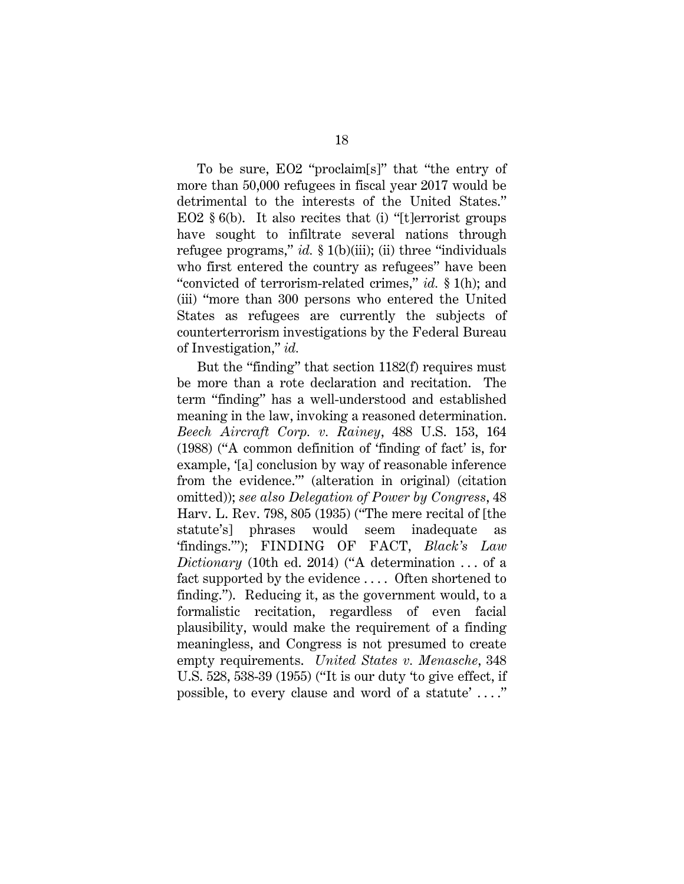To be sure, EO2 "proclaim[s]" that "the entry of more than 50,000 refugees in fiscal year 2017 would be detrimental to the interests of the United States." EO2  $\S$  6(b). It also recites that (i) "[t]errorist groups have sought to infiltrate several nations through refugee programs," *id.* § 1(b)(iii); (ii) three "individuals" who first entered the country as refugees" have been "convicted of terrorism-related crimes," *id.* § 1(h); and (iii) "more than 300 persons who entered the United States as refugees are currently the subjects of counterterrorism investigations by the Federal Bureau of Investigation," *id.*

But the "finding" that section 1182(f) requires must be more than a rote declaration and recitation. The term "finding" has a well-understood and established meaning in the law, invoking a reasoned determination. *Beech Aircraft Corp. v. Rainey*, 488 U.S. 153, 164 (1988) ("A common definition of 'finding of fact' is, for example, '[a] conclusion by way of reasonable inference from the evidence.'" (alteration in original) (citation omitted)); *see also Delegation of Power by Congress*, 48 Harv. L. Rev. 798, 805 (1935) ("The mere recital of [the statute's phrases would seem inadequate 'findings.'"); FINDING OF FACT, *Black's Law Dictionary* (10th ed. 2014) ("A determination . . . of a fact supported by the evidence .... Often shortened to finding."). Reducing it, as the government would, to a formalistic recitation, regardless of even facial plausibility, would make the requirement of a finding meaningless, and Congress is not presumed to create empty requirements. *United States v. Menasche*, 348 U.S. 528, 538-39 (1955) ("It is our duty 'to give effect, if possible, to every clause and word of a statute' . . . ."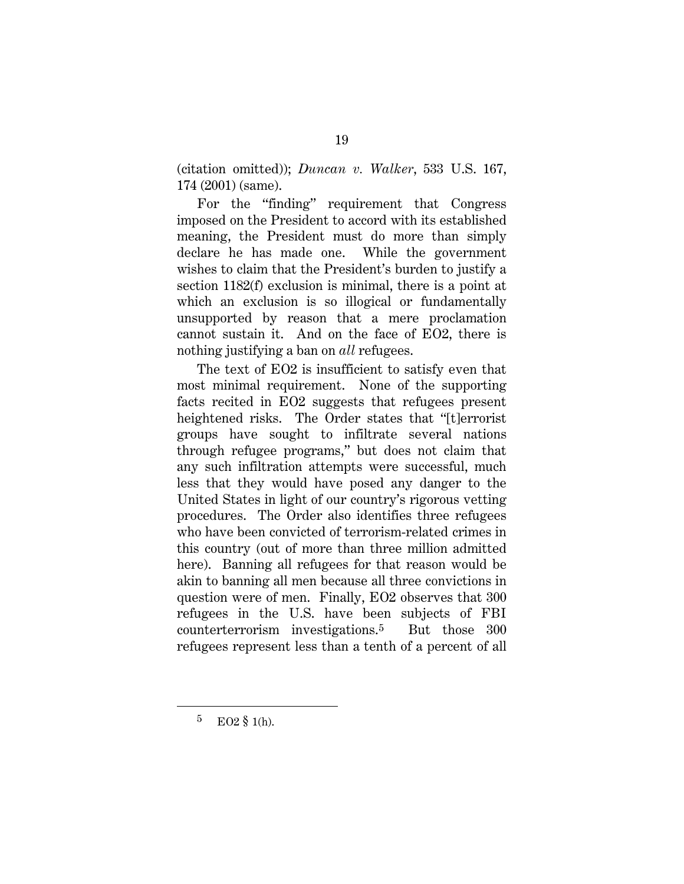(citation omitted)); *Duncan v. Walker*, 533 U.S. 167, 174 (2001) (same).

For the "finding" requirement that Congress imposed on the President to accord with its established meaning, the President must do more than simply declare he has made one. While the government wishes to claim that the President's burden to justify a section 1182(f) exclusion is minimal, there is a point at which an exclusion is so illogical or fundamentally unsupported by reason that a mere proclamation cannot sustain it. And on the face of EO2, there is nothing justifying a ban on *all* refugees.

The text of EO2 is insufficient to satisfy even that most minimal requirement. None of the supporting facts recited in EO2 suggests that refugees present heightened risks. The Order states that "[t]errorist groups have sought to infiltrate several nations through refugee programs," but does not claim that any such infiltration attempts were successful, much less that they would have posed any danger to the United States in light of our country's rigorous vetting procedures. The Order also identifies three refugees who have been convicted of terrorism-related crimes in this country (out of more than three million admitted here). Banning all refugees for that reason would be akin to banning all men because all three convictions in question were of men. Finally, EO2 observes that 300 refugees in the U.S. have been subjects of FBI counterterrorism investigations.[5](#page-33-0) But those 300 refugees represent less than a tenth of a percent of all

<span id="page-33-0"></span><sup>5</sup> EO2 § 1(h).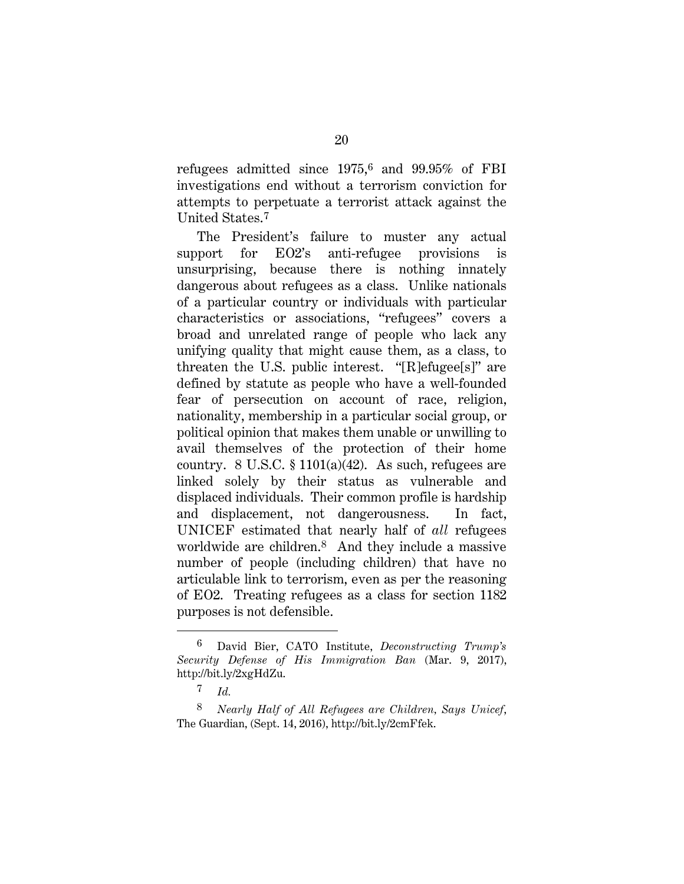refugees admitted since 1975,[6](#page-34-0) and 99.95% of FBI investigations end without a terrorism conviction for attempts to perpetuate a terrorist attack against the United States.[7](#page-34-1) 

The President's failure to muster any actual support for EO2's anti-refugee provisions is unsurprising, because there is nothing innately dangerous about refugees as a class. Unlike nationals of a particular country or individuals with particular characteristics or associations, "refugees" covers a broad and unrelated range of people who lack any unifying quality that might cause them, as a class, to threaten the U.S. public interest. "[R]efugee[s]" are defined by statute as people who have a well-founded fear of persecution on account of race, religion, nationality, membership in a particular social group, or political opinion that makes them unable or unwilling to avail themselves of the protection of their home country. 8 U.S.C.  $\S 1101(a)(42)$ . As such, refugees are linked solely by their status as vulnerable and displaced individuals. Their common profile is hardship and displacement, not dangerousness. In fact, UNICEF estimated that nearly half of *all* refugees worldwide are children.[8](#page-34-2) And they include a massive number of people (including children) that have no articulable link to terrorism, even as per the reasoning of EO2. Treating refugees as a class for section 1182 purposes is not defensible.

<span id="page-34-0"></span><sup>6</sup> David Bier, CATO Institute, *Deconstructing Trump's Security Defense of His Immigration Ban* (Mar. 9, 2017), http://bit.ly/2xgHdZu.

<sup>7</sup> *Id.*

<span id="page-34-2"></span><span id="page-34-1"></span><sup>8</sup> *Nearly Half of All Refugees are Children, Says Unicef*, The Guardian, (Sept. 14, 2016), http://bit.ly/2cmFfek.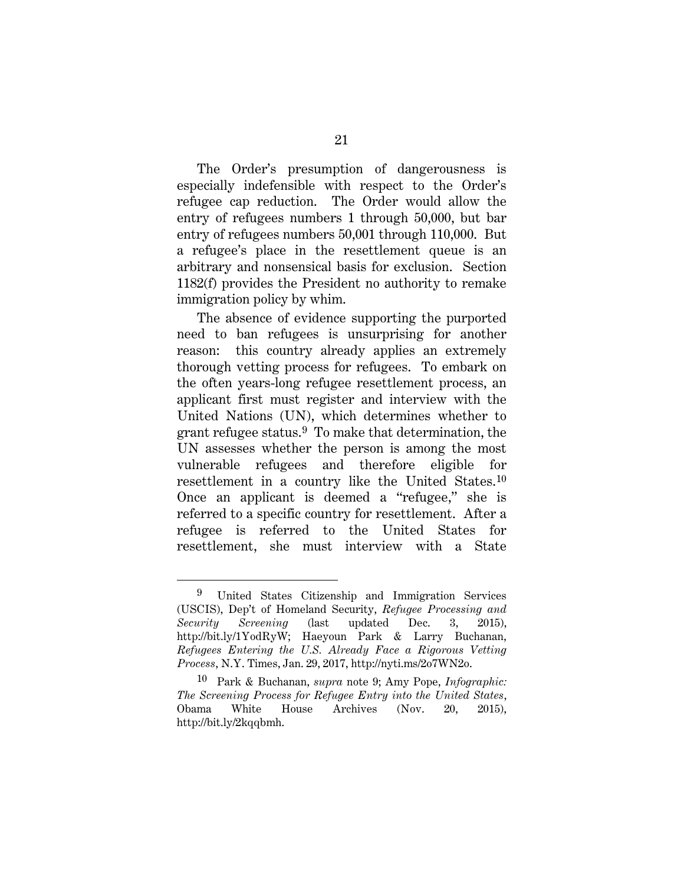The Order's presumption of dangerousness is especially indefensible with respect to the Order's refugee cap reduction. The Order would allow the entry of refugees numbers 1 through 50,000, but bar entry of refugees numbers 50,001 through 110,000. But a refugee's place in the resettlement queue is an arbitrary and nonsensical basis for exclusion. Section 1182(f) provides the President no authority to remake immigration policy by whim.

The absence of evidence supporting the purported need to ban refugees is unsurprising for another reason: this country already applies an extremely thorough vetting process for refugees. To embark on the often years-long refugee resettlement process, an applicant first must register and interview with the United Nations (UN), which determines whether to grant refugee status.[9](#page-35-0) To make that determination, the UN assesses whether the person is among the most vulnerable refugees and therefore eligible for resettlement in a country like the United States[.10](#page-35-1)  Once an applicant is deemed a "refugee," she is referred to a specific country for resettlement. After a refugee is referred to the United States for resettlement, she must interview with a State

<span id="page-35-0"></span><sup>9</sup> United States Citizenship and Immigration Services (USCIS), Dep't of Homeland Security, *Refugee Processing and Security Screening* (last updated Dec. 3, 2015), http://bit.ly/1YodRyW; Haeyoun Park & Larry Buchanan, *Refugees Entering the U.S. Already Face a Rigorous Vetting Process*, N.Y. Times, Jan. 29, 2017, http://nyti.ms/2o7WN2o.

<span id="page-35-1"></span><sup>10</sup> Park & Buchanan, *supra* note 9; Amy Pope, *Infographic: The Screening Process for Refugee Entry into the United States*, Obama White House Archives (Nov. 20, 2015), http://bit.ly/2kqqbmh.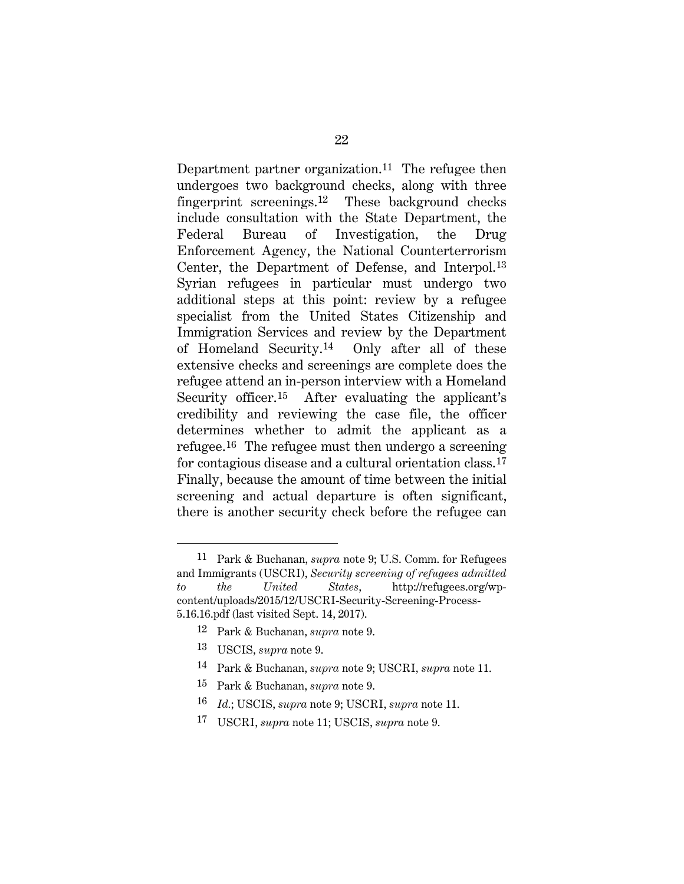Department partner organization.<sup>[11](#page-36-0)</sup> The refugee then undergoes two background checks, along with three fingerprint screenings.[12](#page-36-1) These background checks include consultation with the State Department, the Federal Bureau of Investigation, the Drug Enforcement Agency, the National Counterterrorism Center, the Department of Defense, and Interpol[.13](#page-36-2)  Syrian refugees in particular must undergo two additional steps at this point: review by a refugee specialist from the United States Citizenship and Immigration Services and review by the Department of Homeland Security.[14](#page-36-3) Only after all of these extensive checks and screenings are complete does the refugee attend an in-person interview with a Homeland Security officer.<sup>15</sup> After evaluating the applicant's credibility and reviewing the case file, the officer determines whether to admit the applicant as a refugee.[16](#page-36-5) The refugee must then undergo a screening for contagious disease and a cultural orientation class.[17](#page-36-6)  Finally, because the amount of time between the initial screening and actual departure is often significant, there is another security check before the refugee can

<span id="page-36-1"></span><span id="page-36-0"></span><sup>11</sup> Park & Buchanan, *supra* note 9; U.S. Comm. for Refugees and Immigrants (USCRI), *Security screening of refugees admitted to the United States*, http://refugees.org/wpcontent/uploads/2015/12/USCRI-Security-Screening-Process-5.16.16.pdf (last visited Sept. 14, 2017).

<sup>12</sup> Park & Buchanan, *supra* note 9.

<span id="page-36-2"></span><sup>13</sup> USCIS, *supra* note 9.

<span id="page-36-3"></span><sup>14</sup> Park & Buchanan, *supra* note 9; USCRI*, supra* note 11.

<span id="page-36-4"></span><sup>15</sup> Park & Buchanan, *supra* note 9.

<span id="page-36-5"></span><sup>16</sup> *Id.*; USCIS, *supra* note 9; USCRI, *supra* note 11.

<span id="page-36-6"></span><sup>17</sup> USCRI, *supra* note 11; USCIS, *supra* note 9.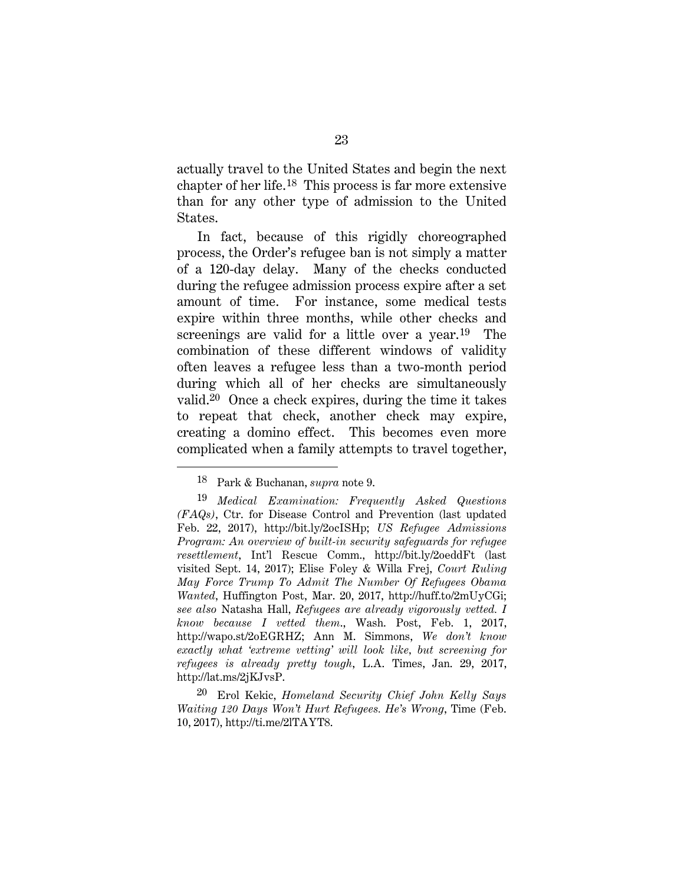actually travel to the United States and begin the next chapter of her life.[18](#page-37-0) This process is far more extensive than for any other type of admission to the United States.

In fact, because of this rigidly choreographed process, the Order's refugee ban is not simply a matter of a 120-day delay. Many of the checks conducted during the refugee admission process expire after a set amount of time. For instance, some medical tests expire within three months, while other checks and screenings are valid for a little over a year.[19](#page-37-1) The combination of these different windows of validity often leaves a refugee less than a two-month period during which all of her checks are simultaneously valid.[20](#page-37-2) Once a check expires, during the time it takes to repeat that check, another check may expire, creating a domino effect. This becomes even more complicated when a family attempts to travel together,

 $\overline{a}$ 

<span id="page-37-2"></span>20 Erol Kekic, *Homeland Security Chief John Kelly Says Waiting 120 Days Won't Hurt Refugees. He's Wrong*, Time (Feb. 10, 2017), http://ti.me/2lTAYT8.

<sup>18</sup> Park & Buchanan, *supra* note 9.

<span id="page-37-1"></span><span id="page-37-0"></span><sup>19</sup> *Medical Examination: Frequently Asked Questions (FAQs)*, Ctr. for Disease Control and Prevention (last updated Feb. 22, 2017), http://bit.ly/2ocISHp; *US Refugee Admissions Program: An overview of built-in security safeguards for refugee resettlement*, Int'l Rescue Comm., http://bit.ly/2oeddFt (last visited Sept. 14, 2017); Elise Foley & Willa Frej, *Court Ruling May Force Trump To Admit The Number Of Refugees Obama Wanted*, Huffington Post, Mar. 20, 2017, http://huff.to/2mUyCGi; *see also* Natasha Hall, *Refugees are already vigorously vetted. I know because I vetted them*., Wash. Post, Feb. 1, 2017, http://wapo.st/2oEGRHZ; Ann M. Simmons, *We don't know exactly what 'extreme vetting' will look like, but screening for refugees is already pretty tough*, L.A. Times, Jan. 29, 2017, http://lat.ms/2jKJvsP.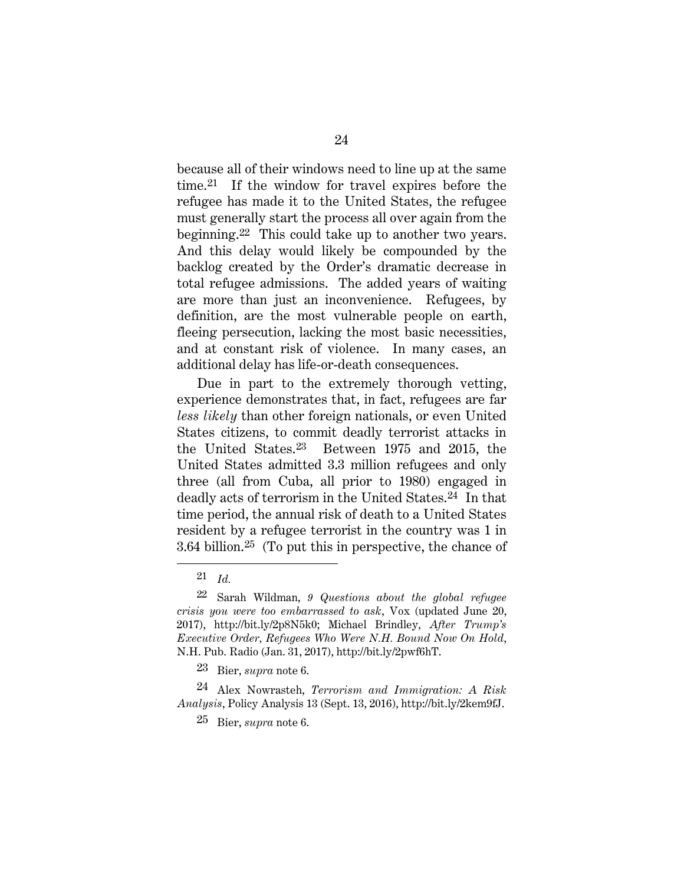because all of their windows need to line up at the same time.[21](#page-38-0) If the window for travel expires before the refugee has made it to the United States, the refugee must generally start the process all over again from the beginning.[22](#page-38-1) This could take up to another two years. And this delay would likely be compounded by the backlog created by the Order's dramatic decrease in total refugee admissions. The added years of waiting are more than just an inconvenience. Refugees, by definition, are the most vulnerable people on earth, fleeing persecution, lacking the most basic necessities, and at constant risk of violence. In many cases, an additional delay has life-or-death consequences.

Due in part to the extremely thorough vetting, experience demonstrates that, in fact, refugees are far *less likely* than other foreign nationals, or even United States citizens, to commit deadly terrorist attacks in the United States.[23](#page-38-2) Between 1975 and 2015, the United States admitted 3.3 million refugees and only three (all from Cuba, all prior to 1980) engaged in deadly acts of terrorism in the United States.[24](#page-38-3) In that time period, the annual risk of death to a United States resident by a refugee terrorist in the country was 1 in 3.64 billion.[25](#page-38-4) (To put this in perspective, the chance of

<sup>21</sup> *Id.*

<span id="page-38-1"></span><span id="page-38-0"></span><sup>22</sup> Sarah Wildman, *9 Questions about the global refugee crisis you were too embarrassed to ask*, Vox (updated June 20, 2017), http://bit.ly/2p8N5k0; Michael Brindley, *After Trump's Executive Order, Refugees Who Were N.H. Bound Now On Hold*, N.H. Pub. Radio (Jan. 31, 2017), http://bit.ly/2pwf6hT.

<sup>23</sup> Bier, *supra* note 6.

<span id="page-38-4"></span><span id="page-38-3"></span><span id="page-38-2"></span><sup>24</sup> Alex Nowrasteh, *Terrorism and Immigration: A Risk Analysis*, Policy Analysis 13 (Sept. 13, 2016), http://bit.ly/2kem9fJ.

<sup>25</sup> Bier, *supra* note 6.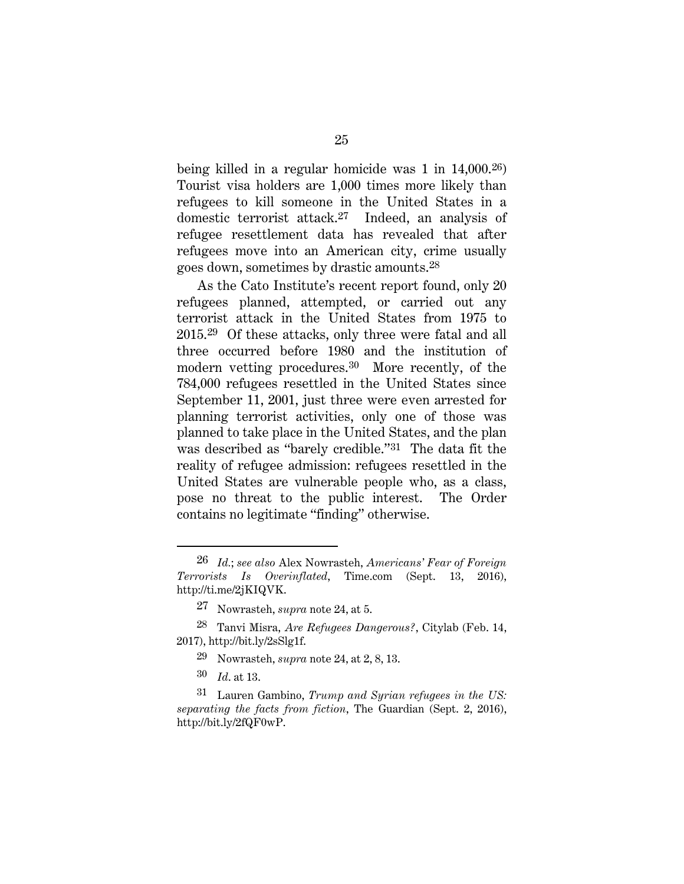being killed in a regular homicide was 1 in 14,000.[26\)](#page-39-0) Tourist visa holders are 1,000 times more likely than refugees to kill someone in the United States in a domestic terrorist attack.[27](#page-39-1) Indeed, an analysis of refugee resettlement data has revealed that after refugees move into an American city, crime usually goes down, sometimes by drastic amounts.[28](#page-39-2)

As the Cato Institute's recent report found, only 20 refugees planned, attempted, or carried out any terrorist attack in the United States from 1975 to 2015.[29](#page-39-3) Of these attacks, only three were fatal and all three occurred before 1980 and the institution of modern vetting procedures.[30](#page-39-4) More recently, of the 784,000 refugees resettled in the United States since September 11, 2001, just three were even arrested for planning terrorist activities, only one of those was planned to take place in the United States, and the plan was described as "barely credible."[31](#page-39-5) The data fit the reality of refugee admission: refugees resettled in the United States are vulnerable people who, as a class, pose no threat to the public interest. The Order contains no legitimate "finding" otherwise.

30 *Id*. at 13.

<span id="page-39-0"></span><sup>26</sup> *Id.*; *see also* Alex Nowrasteh, *Americans' Fear of Foreign Terrorists Is Overinflated*, Time.com (Sept. 13, 2016), http://ti.me/2jKIQVK.

<sup>27</sup> Nowrasteh, *supra* note 24, at 5.

<span id="page-39-3"></span><span id="page-39-2"></span><span id="page-39-1"></span><sup>28</sup> Tanvi Misra, *Are Refugees Dangerous?*, Citylab (Feb. 14, 2017), http://bit.ly/2sSlg1f.

<sup>29</sup> Nowrasteh, *supra* note 24, at 2, 8, 13.

<span id="page-39-5"></span><span id="page-39-4"></span><sup>31</sup> Lauren Gambino, *Trump and Syrian refugees in the US: separating the facts from fiction*, The Guardian (Sept. 2, 2016), http://bit.ly/2fQF0wP.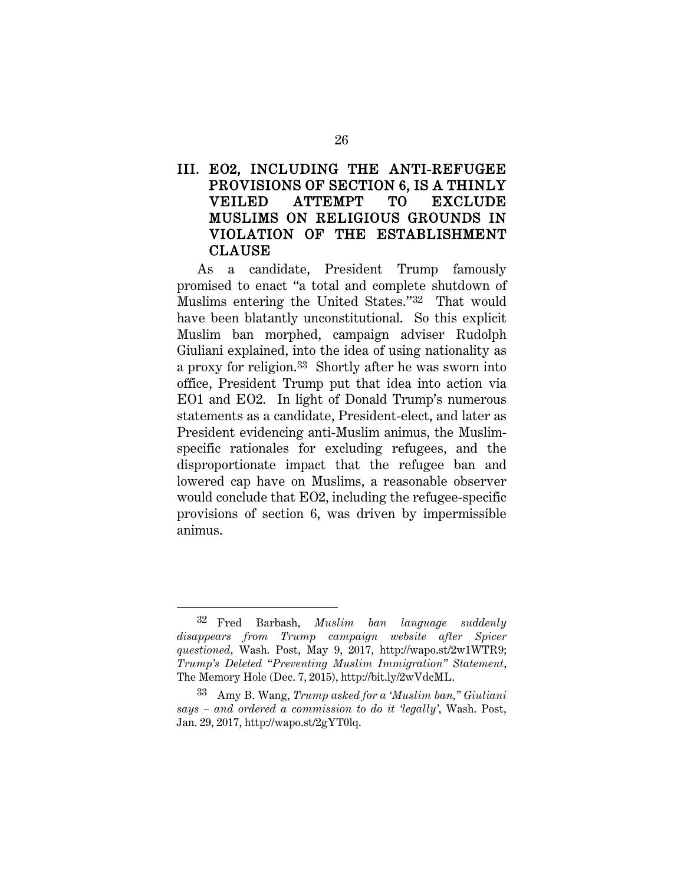#### <span id="page-40-0"></span>III. EO2, INCLUDING THE ANTI-REFUGEE PROVISIONS OF SECTION 6, IS A THINLY VEILED ATTEMPT TO EXCLUDE MUSLIMS ON RELIGIOUS GROUNDS IN VIOLATION OF THE ESTABLISHMENT CLAUSE

As a candidate, President Trump famously promised to enact "a total and complete shutdown of Muslims entering the United States."[32](#page-40-1) That would have been blatantly unconstitutional. So this explicit Muslim ban morphed, campaign adviser Rudolph Giuliani explained, into the idea of using nationality as a proxy for religion.[33](#page-40-2) Shortly after he was sworn into office, President Trump put that idea into action via EO1 and EO2. In light of Donald Trump's numerous statements as a candidate, President-elect, and later as President evidencing anti-Muslim animus, the Muslimspecific rationales for excluding refugees, and the disproportionate impact that the refugee ban and lowered cap have on Muslims, a reasonable observer would conclude that EO2, including the refugee-specific provisions of section 6, was driven by impermissible animus.

<span id="page-40-1"></span><sup>32</sup> Fred Barbash, *Muslim ban language suddenly disappears from Trump campaign website after Spicer questioned*, Wash. Post, May 9, 2017, http://wapo.st/2w1WTR9; *Trump's Deleted "Preventing Muslim Immigration" Statement*, The Memory Hole (Dec. 7, 2015), http://bit.ly/2wVdcML.

<span id="page-40-2"></span><sup>33</sup> Amy B. Wang, *Trump asked for a 'Muslim ban," Giuliani says – and ordered a commission to do it 'legally'*, Wash. Post, Jan. 29, 2017, http://wapo.st/2gYT0lq.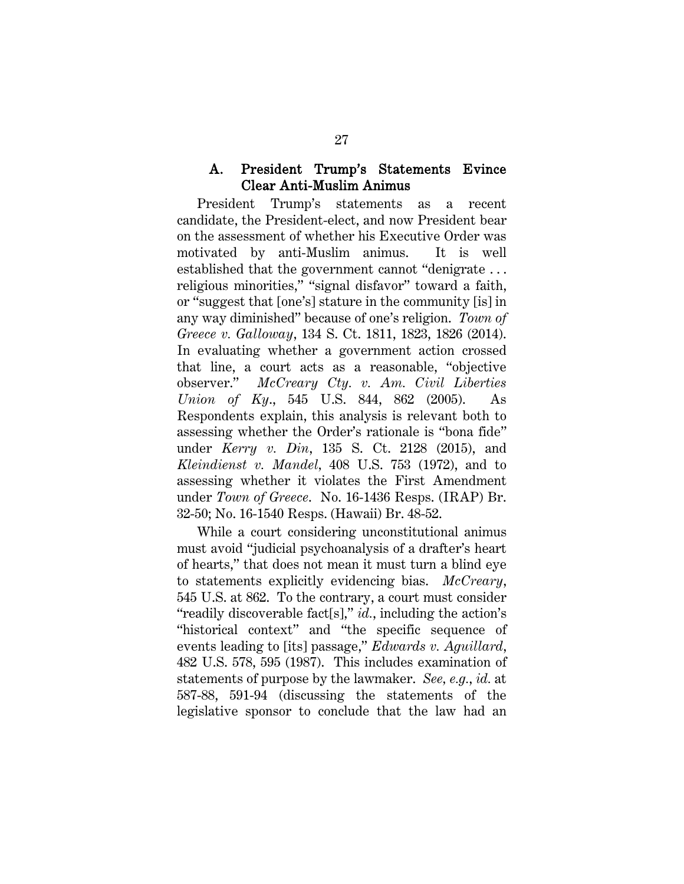#### <span id="page-41-0"></span>A. President Trump's Statements Evince Clear Anti-Muslim Animus

President Trump's statements as a recent candidate, the President-elect, and now President bear on the assessment of whether his Executive Order was motivated by anti-Muslim animus. It is well established that the government cannot "denigrate . . . religious minorities," "signal disfavor" toward a faith, or "suggest that [one's] stature in the community [is] in any way diminished" because of one's religion. *Town of Greece v. Galloway*, 134 S. Ct. 1811, 1823, 1826 (2014). In evaluating whether a government action crossed that line, a court acts as a reasonable, "objective observer." *McCreary Cty. v. Am. Civil Liberties Union of Ky*., 545 U.S. 844, 862 (2005). As Respondents explain, this analysis is relevant both to assessing whether the Order's rationale is "bona fide" under *Kerry v. Din*, 135 S. Ct. 2128 (2015), and *Kleindienst v. Mandel,* 408 U.S. 753 (1972), and to assessing whether it violates the First Amendment under *Town of Greece*. No. 16-1436 Resps. (IRAP) Br. 32-50; No. 16-1540 Resps. (Hawaii) Br. 48-52.

While a court considering unconstitutional animus must avoid "judicial psychoanalysis of a drafter's heart of hearts," that does not mean it must turn a blind eye to statements explicitly evidencing bias. *McCreary*, 545 U.S. at 862. To the contrary, a court must consider "readily discoverable fact[s]," *id.*, including the action's "historical context" and "the specific sequence of events leading to [its] passage," *Edwards v. Aguillard*, 482 U.S. 578, 595 (1987). This includes examination of statements of purpose by the lawmaker. *See, e.g.*, *id.* at 587-88, 591-94 (discussing the statements of the legislative sponsor to conclude that the law had an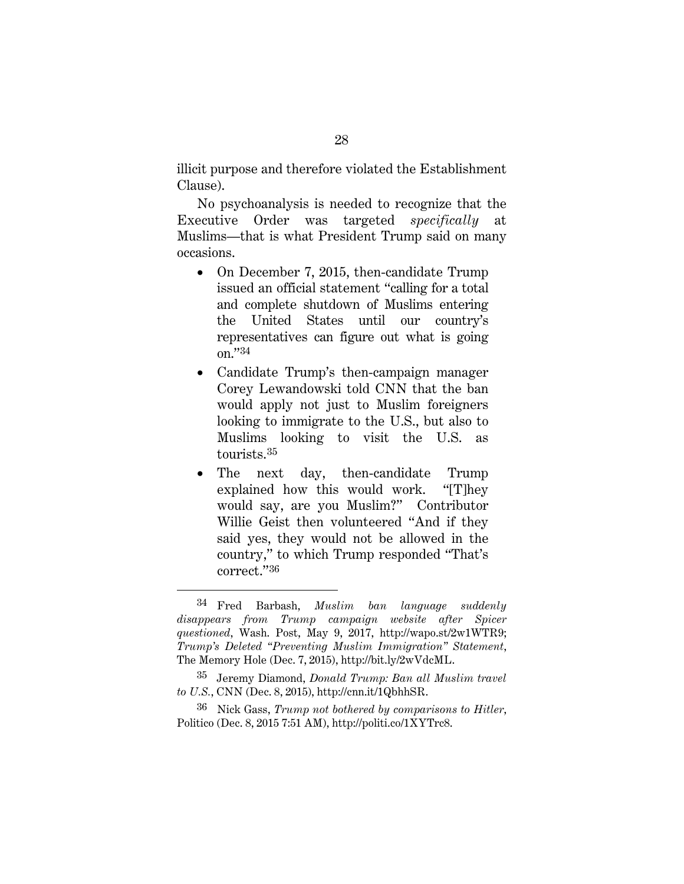illicit purpose and therefore violated the Establishment Clause).

No psychoanalysis is needed to recognize that the Executive Order was targeted *specifically* at Muslims—that is what President Trump said on many occasions.

- On December 7, 2015, then-candidate Trump issued an official statement "calling for a total and complete shutdown of Muslims entering the United States until our country's representatives can figure out what is going on."[34](#page-42-0)
- Candidate Trump's then-campaign manager Corey Lewandowski told CNN that the ban would apply not just to Muslim foreigners looking to immigrate to the U.S., but also to Muslims looking to visit the U.S. as tourists.[35](#page-42-1)
- The next day, then-candidate Trump explained how this would work. "[T]hey would say, are you Muslim?" Contributor Willie Geist then volunteered "And if they said yes, they would not be allowed in the country," to which Trump responded "That's correct."[36](#page-42-2)

<span id="page-42-0"></span><sup>34</sup> Fred Barbash, *Muslim ban language suddenly disappears from Trump campaign website after Spicer questioned*, Wash. Post, May 9, 2017, http://wapo.st/2w1WTR9; *Trump's Deleted "Preventing Muslim Immigration" Statement*, The Memory Hole (Dec. 7, 2015), http://bit.ly/2wVdcML.

<span id="page-42-1"></span><sup>35</sup> Jeremy Diamond, *Donald Trump: Ban all Muslim travel to U.S.*, CNN (Dec. 8, 2015), http://cnn.it/1QbhhSR.

<span id="page-42-2"></span><sup>36</sup> Nick Gass, *Trump not bothered by comparisons to Hitler*, Politico (Dec. 8, 2015 7:51 AM), http://politi.co/1XYTrc8.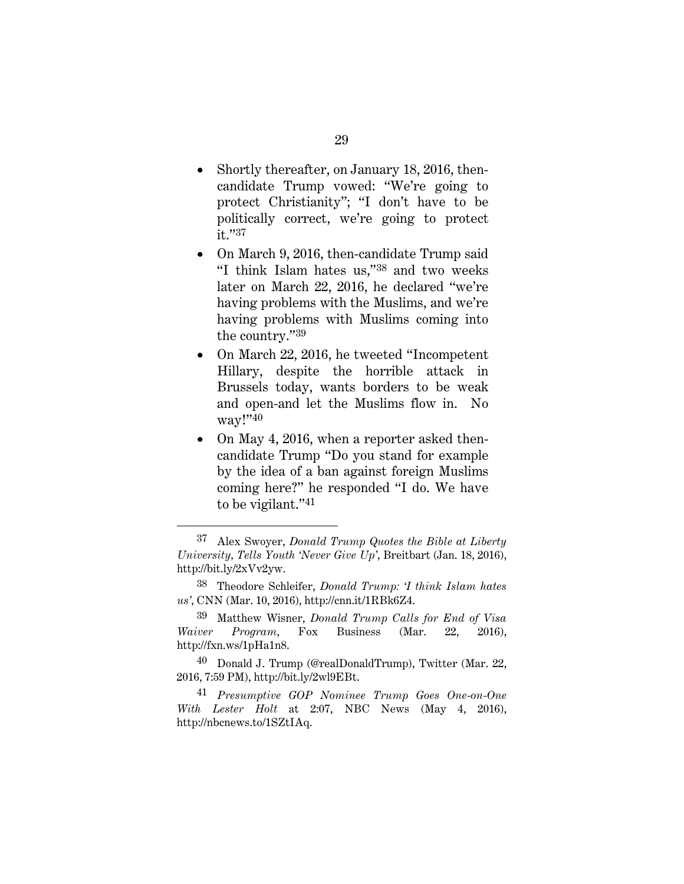- Shortly thereafter, on January 18, 2016, thencandidate Trump vowed: "We're going to protect Christianity"; "I don't have to be politically correct, we're going to protect it."[37](#page-43-0)
- On March 9, 2016, then-candidate Trump said "I think Islam hates us,"[38](#page-43-1) and two weeks later on March 22, 2016, he declared "we're having problems with the Muslims, and we're having problems with Muslims coming into the country."[39](#page-43-2)
- On March 22, 2016, he tweeted "Incompetent" Hillary, despite the horrible attack in Brussels today, wants borders to be weak and open-and let the Muslims flow in. No way!"[40](#page-43-3)
- On May 4, 2016, when a reporter asked thencandidate Trump "Do you stand for example by the idea of a ban against foreign Muslims coming here?" he responded "I do. We have to be vigilant."[41](#page-43-4)

<span id="page-43-0"></span><sup>37</sup> Alex Swoyer, *Donald Trump Quotes the Bible at Liberty University, Tells Youth 'Never Give Up'*, Breitbart (Jan. 18, 2016), http://bit.ly/2xVv2yw.

<span id="page-43-1"></span><sup>38</sup> Theodore Schleifer, *Donald Trump: 'I think Islam hates us'*, CNN (Mar. 10, 2016), http://cnn.it/1RBk6Z4.

<span id="page-43-2"></span><sup>39</sup> Matthew Wisner, *Donald Trump Calls for End of Visa Waiver Program*, Fox Business (Mar. 22, 2016), [http://fxn.ws/1pHa1n8.](http://www.foxbusiness.com/politics/2016/03/22/donald-trump-calls-for-end-visa-waiver-program.html)

<span id="page-43-3"></span><sup>40</sup> Donald J. Trump (@realDonaldTrump), Twitter (Mar. 22, 2016, 7:59 PM), http://bit.ly/2wl9EBt.

<span id="page-43-4"></span><sup>41</sup> *Presumptive GOP Nominee Trump Goes One-on-One With Lester Holt* at 2:07, NBC News (May 4, 2016), http://nbcnews.to/1SZtIAq.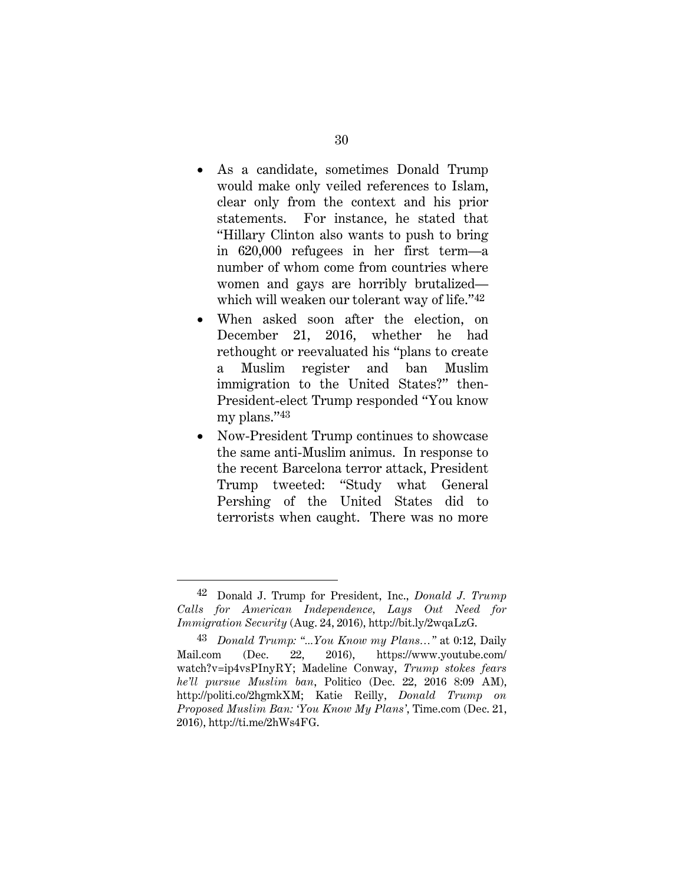- As a candidate, sometimes Donald Trump would make only veiled references to Islam, clear only from the context and his prior statements. For instance, he stated that "Hillary Clinton also wants to push to bring in 620,000 refugees in her first term—a number of whom come from countries where women and gays are horribly brutalized— which will weaken our tolerant way of life."<sup>[42](#page-44-0)</sup>
- When asked soon after the election, on December 21, 2016, whether he had rethought or reevaluated his "plans to create a Muslim register and ban Muslim immigration to the United States?" then-President-elect Trump responded "You know my plans."[43](#page-44-1)
- Now-President Trump continues to showcase the same anti-Muslim animus. In response to the recent Barcelona terror attack, President Trump tweeted: "Study what General Pershing of the United States did to terrorists when caught. There was no more

<span id="page-44-0"></span><sup>42</sup> Donald J. Trump for President, Inc., *Donald J. Trump Calls for American Independence, Lays Out Need for Immigration Security* (Aug. 24, 2016), http://bit.ly/2wqaLzG.

<span id="page-44-1"></span><sup>43</sup> *Donald Trump: "...You Know my Plans…"* at 0:12, Daily Mail.com (Dec. 22, 2016), https://www.youtube.com/ watch?v=ip4vsPInyRY; Madeline Conway, *Trump stokes fears he'll pursue Muslim ban*, Politico (Dec. 22, 2016 8:09 AM), http://politi.co/2hgmkXM; Katie Reilly, *Donald Trump on Proposed Muslim Ban: 'You Know My Plans'*, Time.com (Dec. 21, 2016), http://ti.me/2hWs4FG.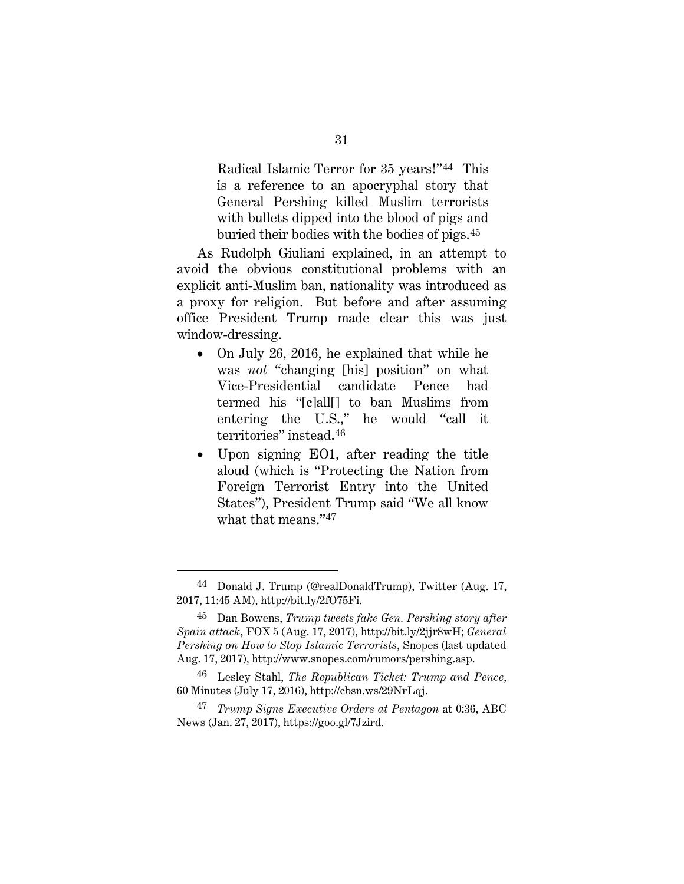Radical Islamic Terror for 35 years!"[44](#page-45-0) This is a reference to an apocryphal story that General Pershing killed Muslim terrorists with bullets dipped into the blood of pigs and buried their bodies with the bodies of pigs.[45](#page-45-1)

As Rudolph Giuliani explained, in an attempt to avoid the obvious constitutional problems with an explicit anti-Muslim ban, nationality was introduced as a proxy for religion. But before and after assuming office President Trump made clear this was just window-dressing.

- On July 26, 2016, he explained that while he was *not* "changing [his] position" on what Vice-Presidential candidate Pence had termed his "[c]all[] to ban Muslims from entering the U.S.," he would "call it territories" instead.[46](#page-45-2)
- Upon signing EO1, after reading the title aloud (which is "Protecting the Nation from Foreign Terrorist Entry into the United States"), President Trump said "We all know what that means."[47](#page-45-3)

<span id="page-45-0"></span><sup>44</sup> Donald J. Trump (@realDonaldTrump), Twitter (Aug. 17, 2017, 11:45 AM), http://bit.ly/2fO75Fi.

<span id="page-45-1"></span><sup>45</sup> Dan Bowens, *Trump tweets fake Gen. Pershing story after Spain attack*, FOX 5 (Aug. 17, 2017), http://bit.ly/2jjr8wH; *General Pershing on How to Stop Islamic Terrorists*, Snopes (last updated Aug. 17, 2017), http://www.snopes.com/rumors/pershing.asp.

<span id="page-45-2"></span><sup>46</sup> Lesley Stahl, *The Republican Ticket: Trump and Pence*, 60 Minutes (July 17, 2016), http://cbsn.ws/29NrLqj.

<span id="page-45-3"></span><sup>47</sup> *Trump Signs Executive Orders at Pentagon* at 0:36, ABC News (Jan. 27, 2017), https://goo.gl/7Jzird.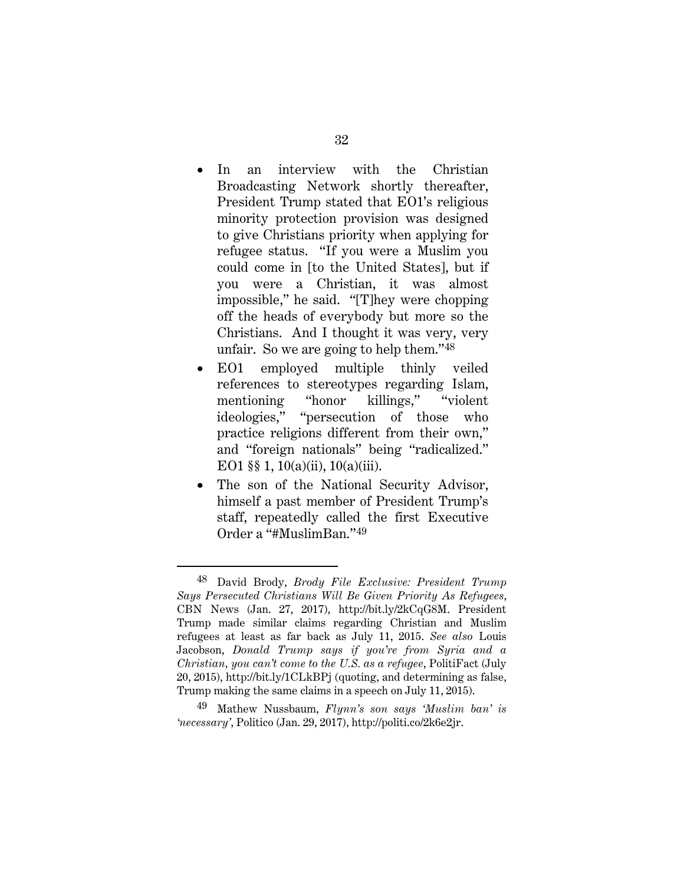- In an interview with the Christian Broadcasting Network shortly thereafter, President Trump stated that EO1's religious minority protection provision was designed to give Christians priority when applying for refugee status. "If you were a Muslim you could come in [to the United States], but if you were a Christian, it was almost impossible," he said. "[T]hey were chopping off the heads of everybody but more so the Christians. And I thought it was very, very unfair. So we are going to help them."[48](#page-46-0)
- EO1 employed multiple thinly veiled references to stereotypes regarding Islam, mentioning "honor killings," "violent ideologies," "persecution of those who practice religions different from their own," and "foreign nationals" being "radicalized." EO1 §§ 1, 10(a)(ii), 10(a)(iii).
- The son of the National Security Advisor, himself a past member of President Trump's staff, repeatedly called the first Executive Order a "#MuslimBan."[49](#page-46-1)

<span id="page-46-0"></span><sup>48</sup> David Brody, *Brody File Exclusive: President Trump Says Persecuted Christians Will Be Given Priority As Refugees*, CBN News (Jan. 27, 2017), http://bit.ly/2kCqG8M. President Trump made similar claims regarding Christian and Muslim refugees at least as far back as July 11, 2015. *See also* Louis Jacobson, *Donald Trump says if you're from Syria and a Christian, you can't come to the U.S. as a refugee*, PolitiFact (July 20, 2015), http://bit.ly/1CLkBPj (quoting, and determining as false, Trump making the same claims in a speech on July 11, 2015).

<span id="page-46-1"></span><sup>49</sup> Mathew Nussbaum, *Flynn's son says 'Muslim ban' is 'necessary'*, Politico (Jan. 29, 2017), http://politi.co/2k6e2jr.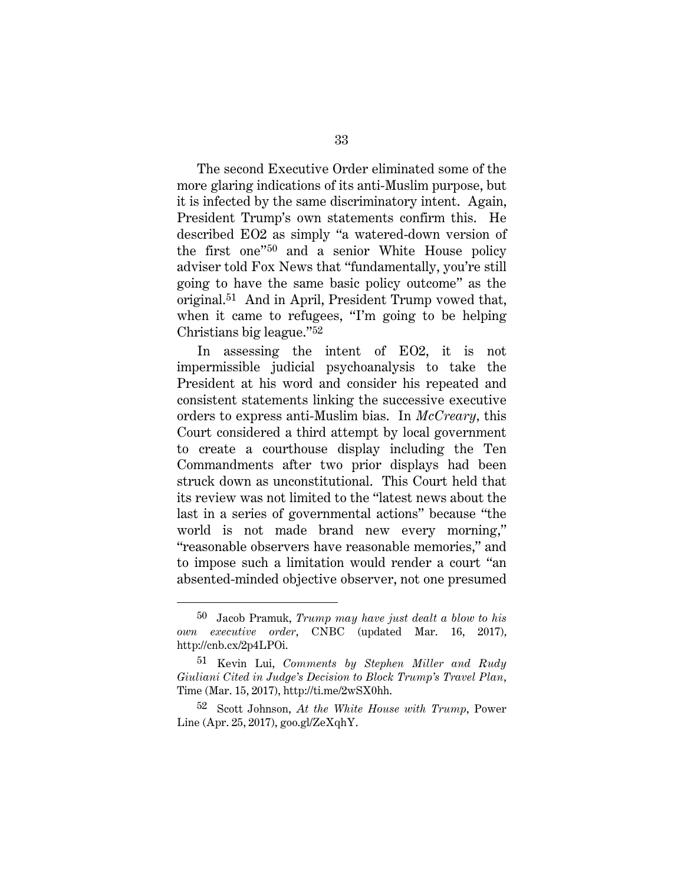The second Executive Order eliminated some of the more glaring indications of its anti-Muslim purpose, but it is infected by the same discriminatory intent. Again, President Trump's own statements confirm this. He described EO2 as simply "a watered-down version of the first one"[50](#page-47-0) and a senior White House policy adviser told Fox News that "fundamentally, you're still going to have the same basic policy outcome" as the original.[51](#page-47-1) And in April, President Trump vowed that, when it came to refugees, "I'm going to be helping Christians big league."[52](#page-47-2)

In assessing the intent of EO2, it is not impermissible judicial psychoanalysis to take the President at his word and consider his repeated and consistent statements linking the successive executive orders to express anti-Muslim bias. In *McCreary,* this Court considered a third attempt by local government to create a courthouse display including the Ten Commandments after two prior displays had been struck down as unconstitutional. This Court held that its review was not limited to the "latest news about the last in a series of governmental actions" because "the world is not made brand new every morning," "reasonable observers have reasonable memories," and to impose such a limitation would render a court "an absented-minded objective observer, not one presumed

<span id="page-47-0"></span><sup>50</sup> Jacob Pramuk, *Trump may have just dealt a blow to his own executive order*, CNBC (updated Mar. 16, 2017), http://cnb.cx/2p4LPOi.

<span id="page-47-1"></span><sup>51</sup> Kevin Lui, *Comments by Stephen Miller and Rudy Giuliani Cited in Judge's Decision to Block Trump's Travel Plan*, Time (Mar. 15, 2017), http://ti.me/2wSX0hh.

<span id="page-47-2"></span><sup>52</sup> Scott Johnson, *At the White House with Trump*, Power Line (Apr. 25, 2017), goo.gl/ZeXqhY.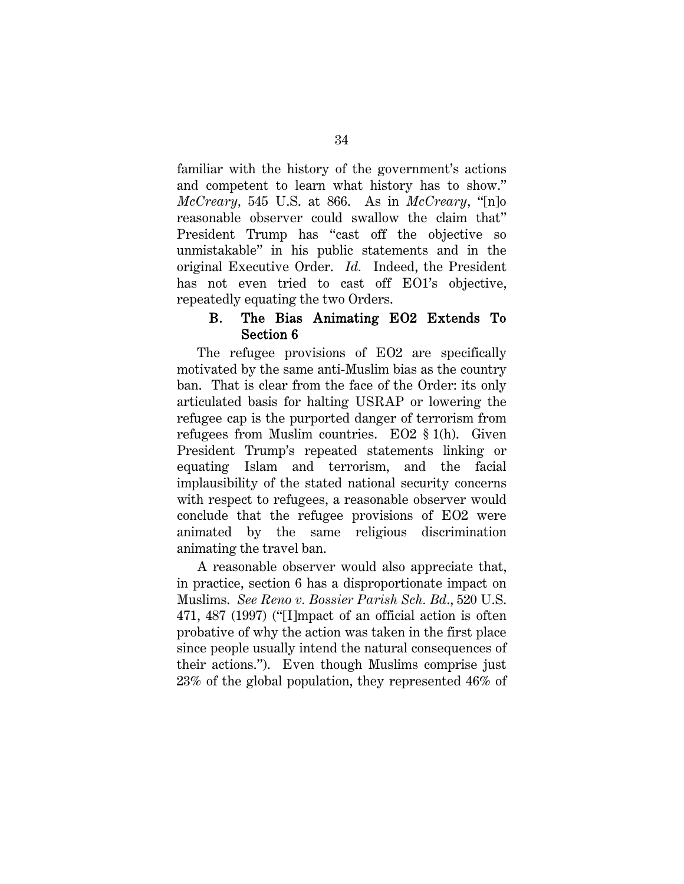familiar with the history of the government's actions and competent to learn what history has to show." *McCreary,* 545 U.S. at 866. As in *McCreary*, "[n]o reasonable observer could swallow the claim that" President Trump has "cast off the objective so unmistakable" in his public statements and in the original Executive Order. *Id.* Indeed, the President has not even tried to cast off EO1's objective, repeatedly equating the two Orders.

#### <span id="page-48-0"></span>B. The Bias Animating EO2 Extends To Section 6

The refugee provisions of EO2 are specifically motivated by the same anti-Muslim bias as the country ban. That is clear from the face of the Order: its only articulated basis for halting USRAP or lowering the refugee cap is the purported danger of terrorism from refugees from Muslim countries. EO2 § 1(h). Given President Trump's repeated statements linking or equating Islam and terrorism, and the facial implausibility of the stated national security concerns with respect to refugees, a reasonable observer would conclude that the refugee provisions of EO2 were animated by the same religious discrimination animating the travel ban.

A reasonable observer would also appreciate that, in practice, section 6 has a disproportionate impact on Muslims. *See Reno v. Bossier Parish Sch. Bd*., 520 U.S. 471, 487 (1997) ("[I]mpact of an official action is often probative of why the action was taken in the first place since people usually intend the natural consequences of their actions."). Even though Muslims comprise just 23% of the global population, they represented 46% of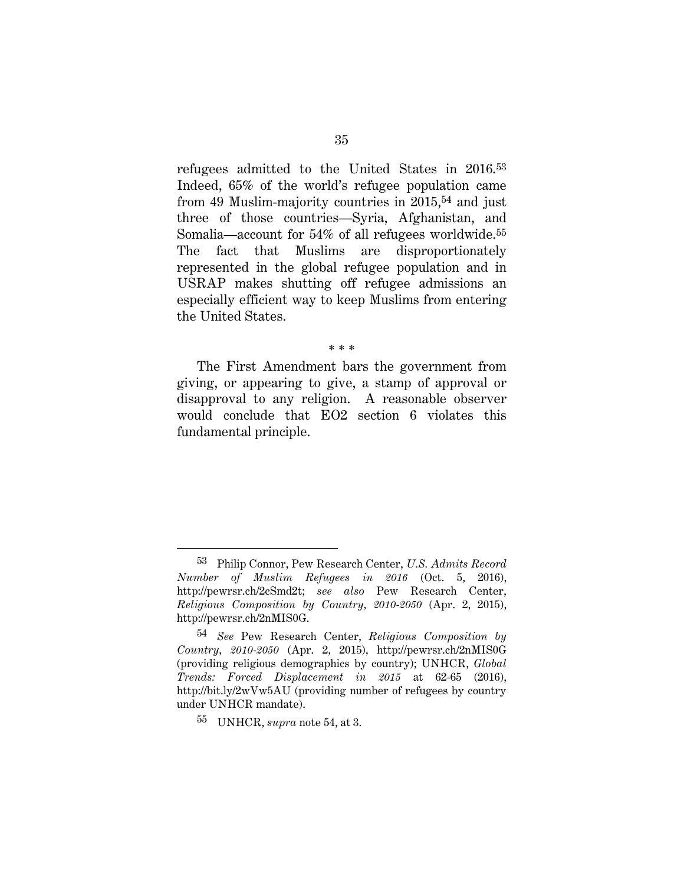refugees admitted to the United States in 2016[.53](#page-49-0)  Indeed, 65% of the world's refugee population came from 49 Muslim-majority countries in 2015,[54](#page-49-1) and just three of those countries—Syria, Afghanistan, and Somalia—account for 54% of all refugees worldwide[.55](#page-49-2)  The fact that Muslims are disproportionately represented in the global refugee population and in USRAP makes shutting off refugee admissions an especially efficient way to keep Muslims from entering the United States.

\* \* \*

The First Amendment bars the government from giving, or appearing to give, a stamp of approval or disapproval to any religion. A reasonable observer would conclude that EO2 section 6 violates this fundamental principle.

<span id="page-49-0"></span><sup>53</sup> Philip Connor, Pew Research Center, *U.S. Admits Record Number of Muslim Refugees in 2016* (Oct. 5, 2016), http://pewrsr.ch/2cSmd2t; *see also* Pew Research Center, *Religious Composition by Country, 2010-2050* (Apr. 2, 2015), http://pewrsr.ch/2nMIS0G.

<span id="page-49-2"></span><span id="page-49-1"></span><sup>54</sup> *See* Pew Research Center, *Religious Composition by Country, 2010-2050* (Apr. 2, 2015), http://pewrsr.ch/2nMIS0G (providing religious demographics by country); UNHCR, *Global Trends: Forced Displacement in 2015* at 62-65 (2016), http://bit.ly/2wVw5AU (providing number of refugees by country under UNHCR mandate).

<sup>55</sup> UNHCR, *supra* note 54, at 3.